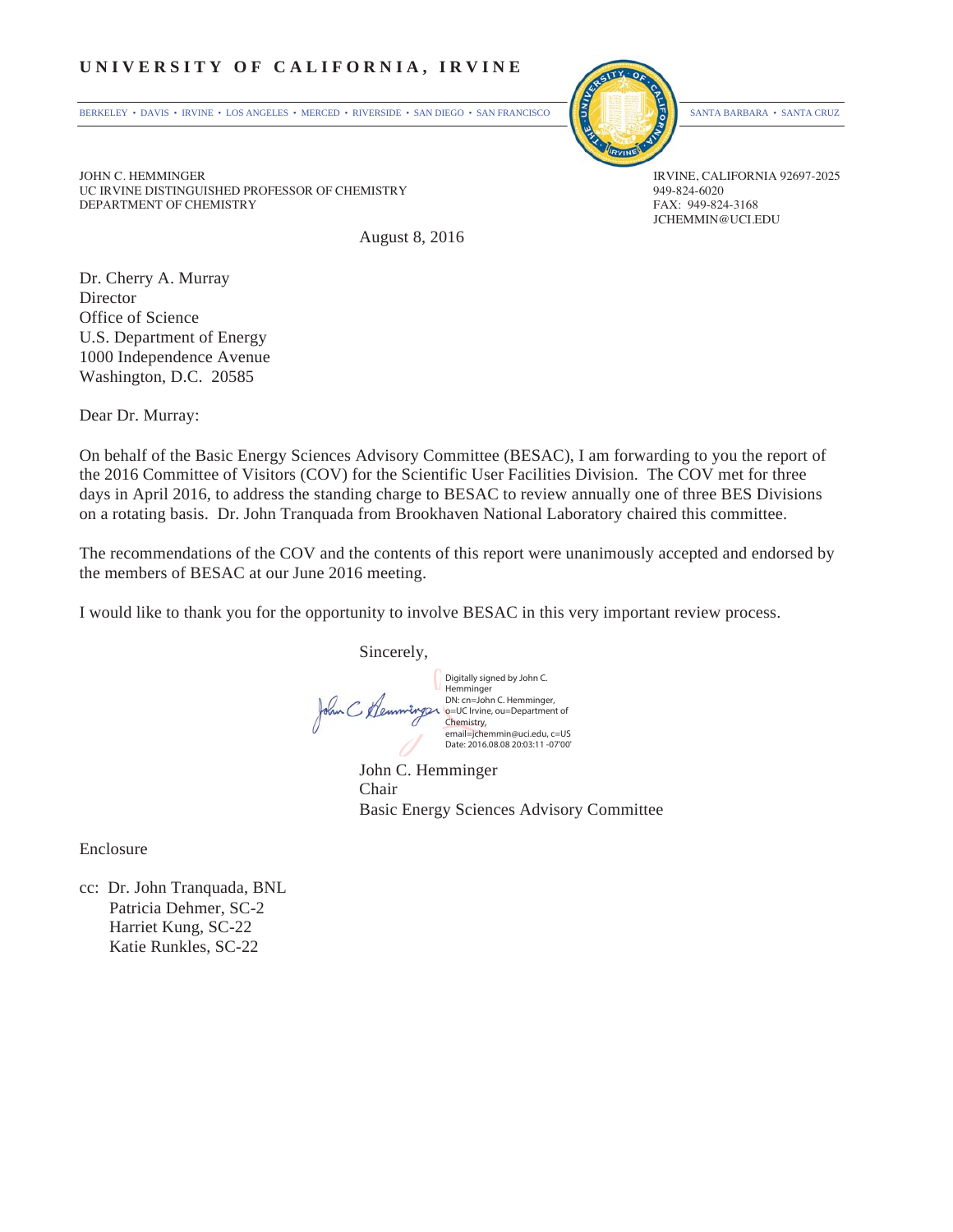#### **UNIVERSITY OF CALIFORNIA, IRVINE**

BERKELEY • DAVIS • IRVINE • LOS ANGELES • MERCED • RIVERSIDE • SAN DIEGO • SAN FRANCISCO SANTA BARBARA • SANTA CRUZ



JCHEMMIN@UCI.EDU

JOHN C. HEMMINGER<br>TIC IRVINE DISTINGUISHED PROFESSOR OF CHEMISTRY STATES AND RESERVED BY A 49-824-6020 UC IRVINE DISTINGUISHED PROFESSOR OF CHEMISTRY 949-824-6020<br>DEPARTMENT OF CHEMISTRY FAX: 949-824-3168 DEPARTMENT OF CHEMISTRY

August 8, 2016

Dr. Cherry A. Murray Director Office of Science U.S. Department of Energy 1000 Independence Avenue Washington, D.C. 20585

Dear Dr. Murray:

On behalf of the Basic Energy Sciences Advisory Committee (BESAC), I am forwarding to you the report of the 2016 Committee of Visitors (COV) for the Scientific User Facilities Division. The COV met for three days in April 2016, to address the standing charge to BESAC to review annually one of three BES Divisions on a rotating basis. Dr. John Tranquada from Brookhaven National Laboratory chaired this committee.

The recommendations of the COV and the contents of this report were unanimously accepted and endorsed by the members of BESAC at our June 2016 meeting.

I would like to thank you for the opportunity to involve BESAC in this very important review process.

Sincerely,

Digitally signed by John C. Hemminger DN: cn=John C. Hemminger, John C Klemm o=UC Irvine, ou=Department of Chemistry, email=jchemmin@uci.edu, c=US Date: 2016.08.08 20:03:11 -07'00'

 John C. Hemminger Chair Basic Energy Sciences Advisory Committee

Enclosure

cc: Dr. John Tranquada, BNL Patricia Dehmer, SC-2 Harriet Kung, SC-22 Katie Runkles, SC-22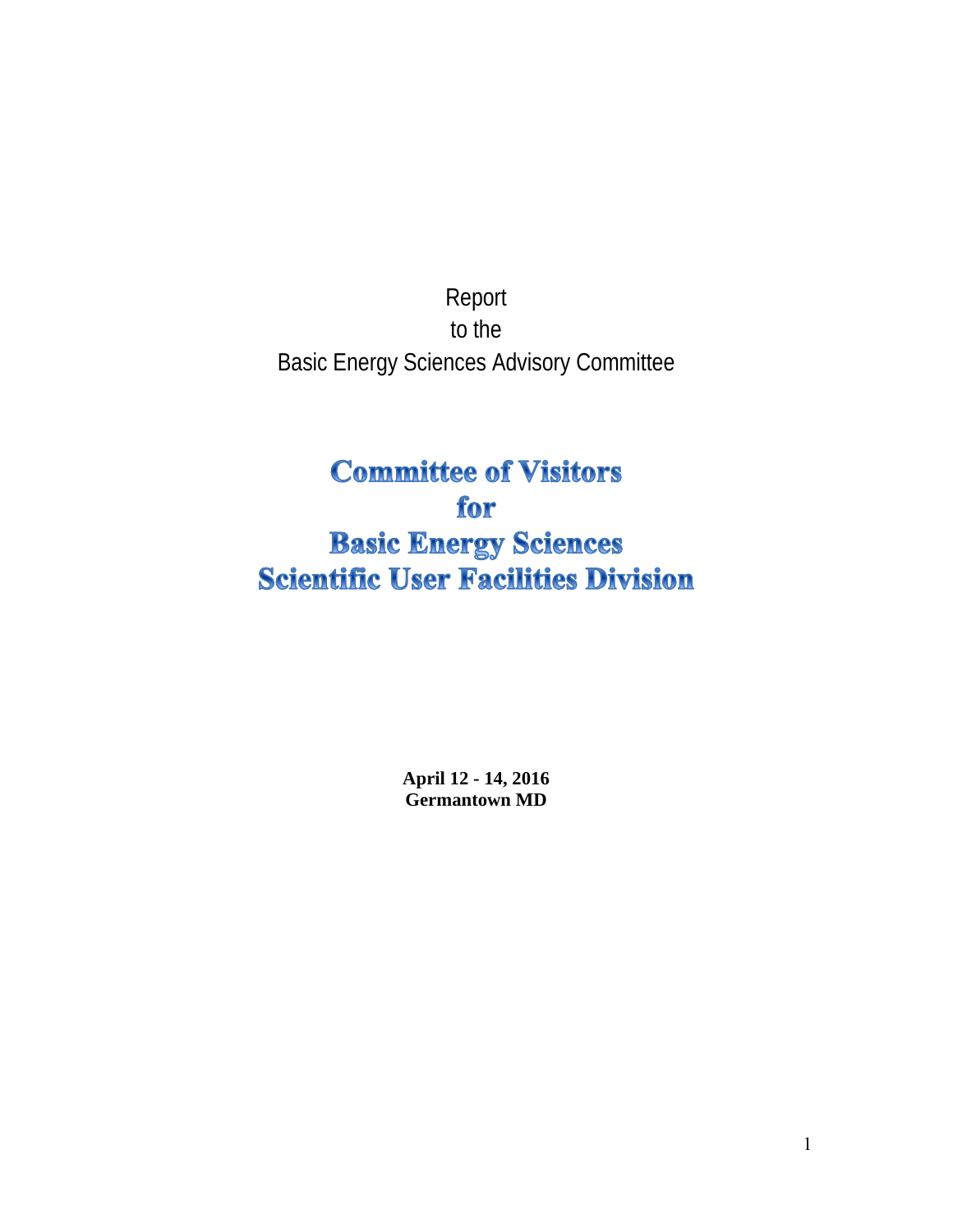Report to the Basic Energy Sciences Advisory Committee

# **Committee of Visitors** for **Basic Energy Sciences Scientific User Facilities Division**

**April 12 - 14, 2016 Germantown MD**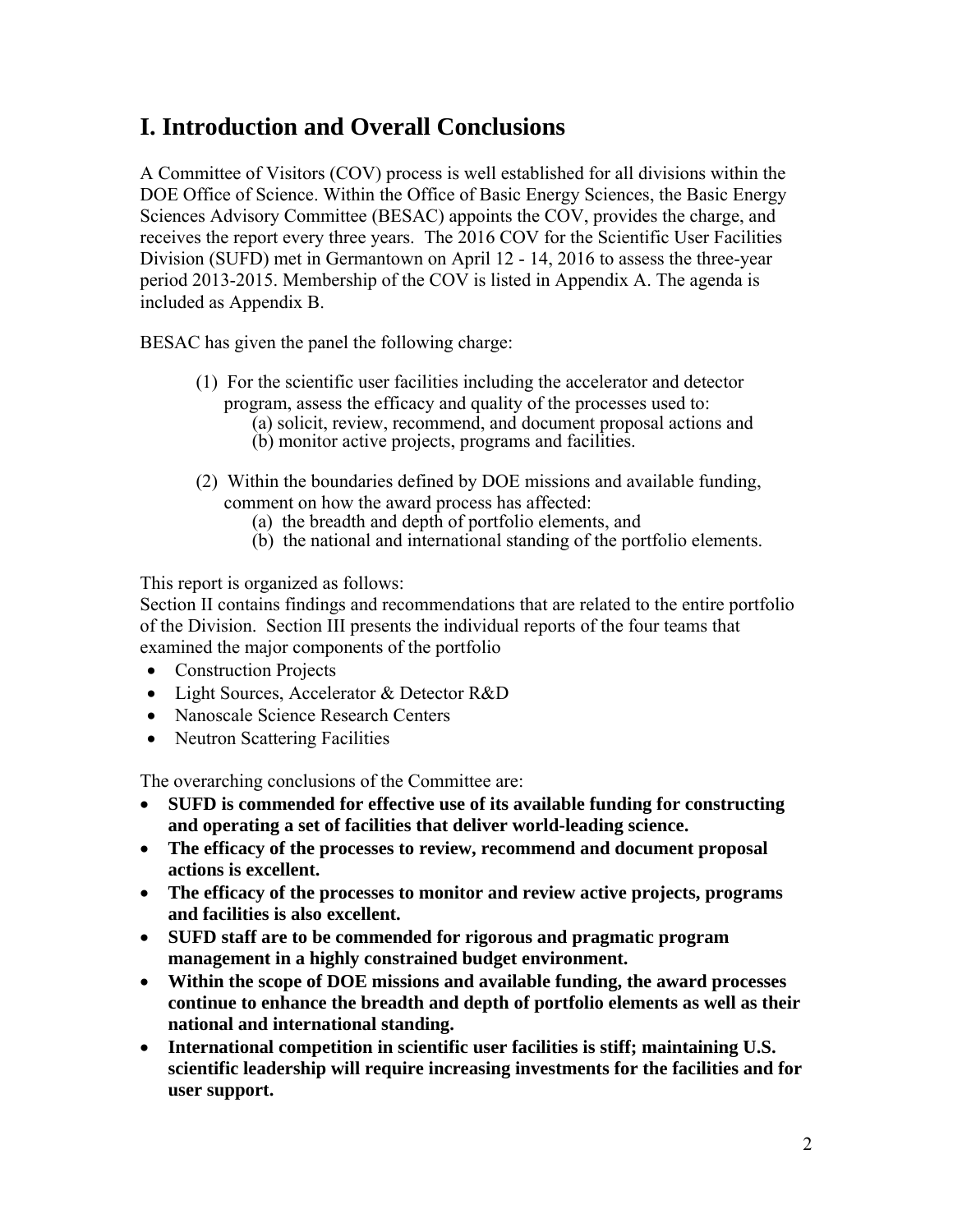## **I. Introduction and Overall Conclusions**

A Committee of Visitors (COV) process is well established for all divisions within the DOE Office of Science. Within the Office of Basic Energy Sciences, the Basic Energy Sciences Advisory Committee (BESAC) appoints the COV, provides the charge, and receives the report every three years. The 2016 COV for the Scientific User Facilities Division (SUFD) met in Germantown on April 12 - 14, 2016 to assess the three-year period 2013-2015. Membership of the COV is listed in Appendix A. The agenda is included as Appendix B.

BESAC has given the panel the following charge:

- (1) For the scientific user facilities including the accelerator and detector program, assess the efficacy and quality of the processes used to:
	- (a) solicit, review, recommend, and document proposal actions and (b) monitor active projects, programs and facilities.
- (2) Within the boundaries defined by DOE missions and available funding, comment on how the award process has affected:
	- (a) the breadth and depth of portfolio elements, and
	- (b) the national and international standing of the portfolio elements.

This report is organized as follows:

Section II contains findings and recommendations that are related to the entire portfolio of the Division. Section III presents the individual reports of the four teams that examined the major components of the portfolio

- Construction Projects
- Light Sources, Accelerator & Detector R&D
- Nanoscale Science Research Centers
- Neutron Scattering Facilities

The overarching conclusions of the Committee are:

- **SUFD is commended for effective use of its available funding for constructing and operating a set of facilities that deliver world-leading science.**
- **The efficacy of the processes to review, recommend and document proposal actions is excellent.**
- **The efficacy of the processes to monitor and review active projects, programs and facilities is also excellent.**
- **SUFD staff are to be commended for rigorous and pragmatic program management in a highly constrained budget environment.**
- **Within the scope of DOE missions and available funding, the award processes continue to enhance the breadth and depth of portfolio elements as well as their national and international standing.**
- **International competition in scientific user facilities is stiff; maintaining U.S. scientific leadership will require increasing investments for the facilities and for user support.**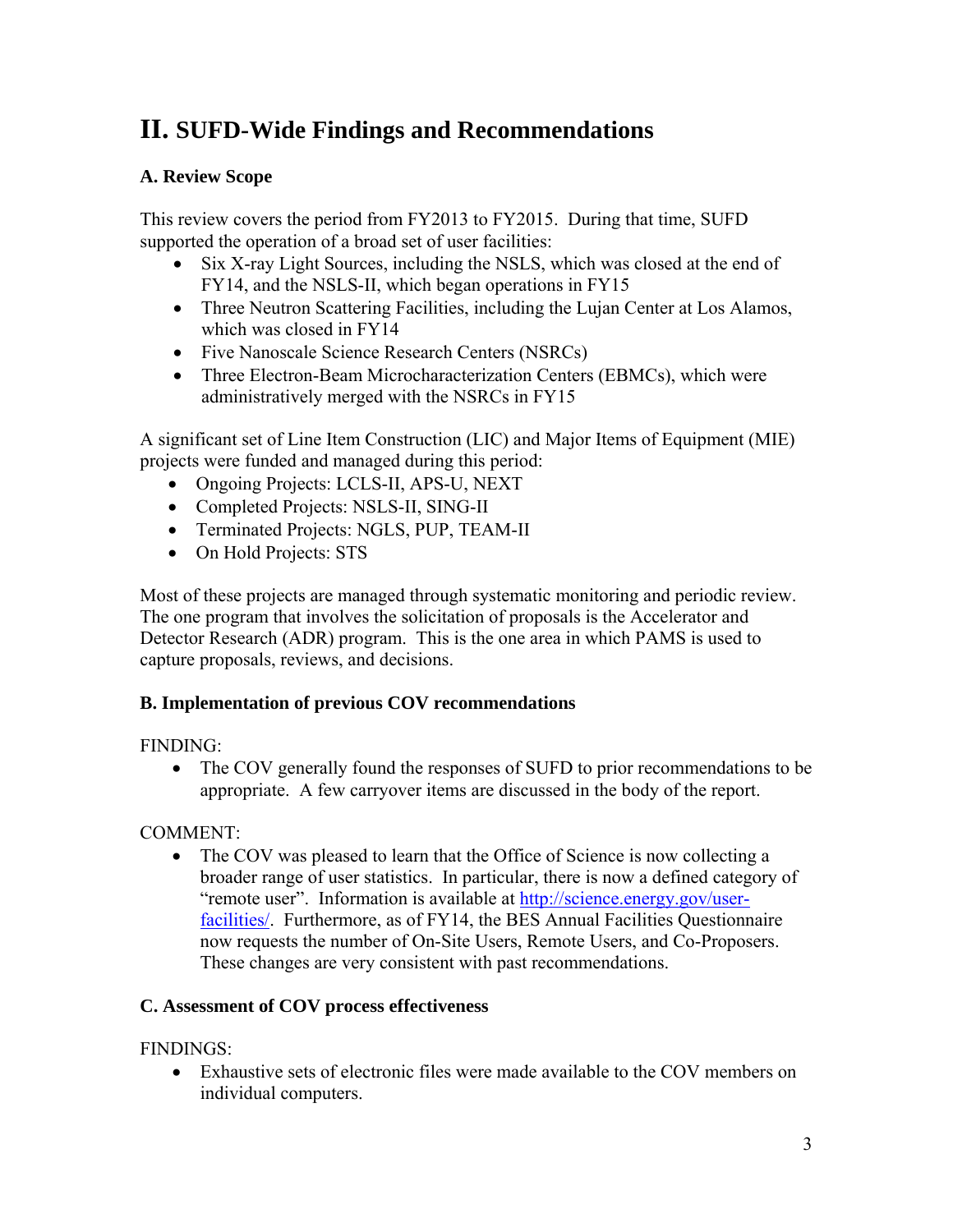## **II. SUFD-Wide Findings and Recommendations**

#### **A. Review Scope**

This review covers the period from FY2013 to FY2015. During that time, SUFD supported the operation of a broad set of user facilities:

- Six X-ray Light Sources, including the NSLS, which was closed at the end of FY14, and the NSLS-II, which began operations in FY15
- Three Neutron Scattering Facilities, including the Luian Center at Los Alamos. which was closed in FY14
- Five Nanoscale Science Research Centers (NSRCs)
- Three Electron-Beam Microcharacterization Centers (EBMCs), which were administratively merged with the NSRCs in FY15

A significant set of Line Item Construction (LIC) and Major Items of Equipment (MIE) projects were funded and managed during this period:

- Ongoing Projects: LCLS-II, APS-U, NEXT
- Completed Projects: NSLS-II, SING-II
- Terminated Projects: NGLS, PUP, TEAM-II
- On Hold Projects: STS

Most of these projects are managed through systematic monitoring and periodic review. The one program that involves the solicitation of proposals is the Accelerator and Detector Research (ADR) program. This is the one area in which PAMS is used to capture proposals, reviews, and decisions.

#### **B. Implementation of previous COV recommendations**

#### FINDING:

• The COV generally found the responses of SUFD to prior recommendations to be appropriate. A few carryover items are discussed in the body of the report.

#### COMMENT:

• The COV was pleased to learn that the Office of Science is now collecting a broader range of user statistics. In particular, there is now a defined category of "remote user". Information is available at http://science.energy.gov/userfacilities/. Furthermore, as of FY14, the BES Annual Facilities Questionnaire now requests the number of On-Site Users, Remote Users, and Co-Proposers. These changes are very consistent with past recommendations.

#### **C. Assessment of COV process effectiveness**

### FINDINGS:

 Exhaustive sets of electronic files were made available to the COV members on individual computers.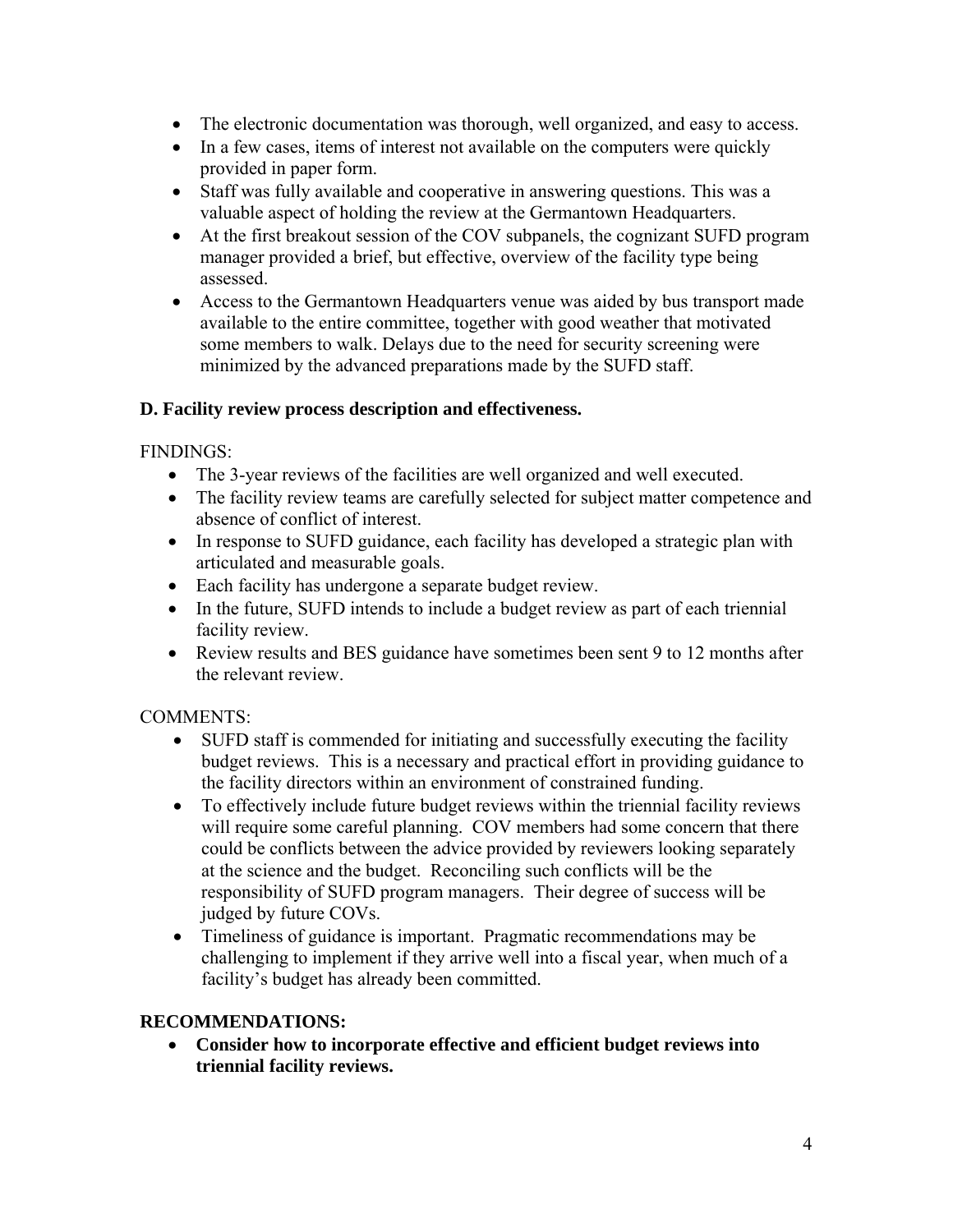- The electronic documentation was thorough, well organized, and easy to access.
- In a few cases, items of interest not available on the computers were quickly provided in paper form.
- Staff was fully available and cooperative in answering questions. This was a valuable aspect of holding the review at the Germantown Headquarters.
- At the first breakout session of the COV subpanels, the cognizant SUFD program manager provided a brief, but effective, overview of the facility type being assessed.
- Access to the Germantown Headquarters venue was aided by bus transport made available to the entire committee, together with good weather that motivated some members to walk. Delays due to the need for security screening were minimized by the advanced preparations made by the SUFD staff.

#### **D. Facility review process description and effectiveness.**

FINDINGS:

- The 3-year reviews of the facilities are well organized and well executed.
- The facility review teams are carefully selected for subject matter competence and absence of conflict of interest.
- In response to SUFD guidance, each facility has developed a strategic plan with articulated and measurable goals.
- Each facility has undergone a separate budget review.
- In the future, SUFD intends to include a budget review as part of each triennial facility review.
- Review results and BES guidance have sometimes been sent 9 to 12 months after the relevant review.

### COMMENTS:

- SUFD staff is commended for initiating and successfully executing the facility budget reviews. This is a necessary and practical effort in providing guidance to the facility directors within an environment of constrained funding.
- To effectively include future budget reviews within the triennial facility reviews will require some careful planning. COV members had some concern that there could be conflicts between the advice provided by reviewers looking separately at the science and the budget. Reconciling such conflicts will be the responsibility of SUFD program managers. Their degree of success will be judged by future COVs.
- Timeliness of guidance is important. Pragmatic recommendations may be challenging to implement if they arrive well into a fiscal year, when much of a facility's budget has already been committed.

### **RECOMMENDATIONS:**

 **Consider how to incorporate effective and efficient budget reviews into triennial facility reviews.**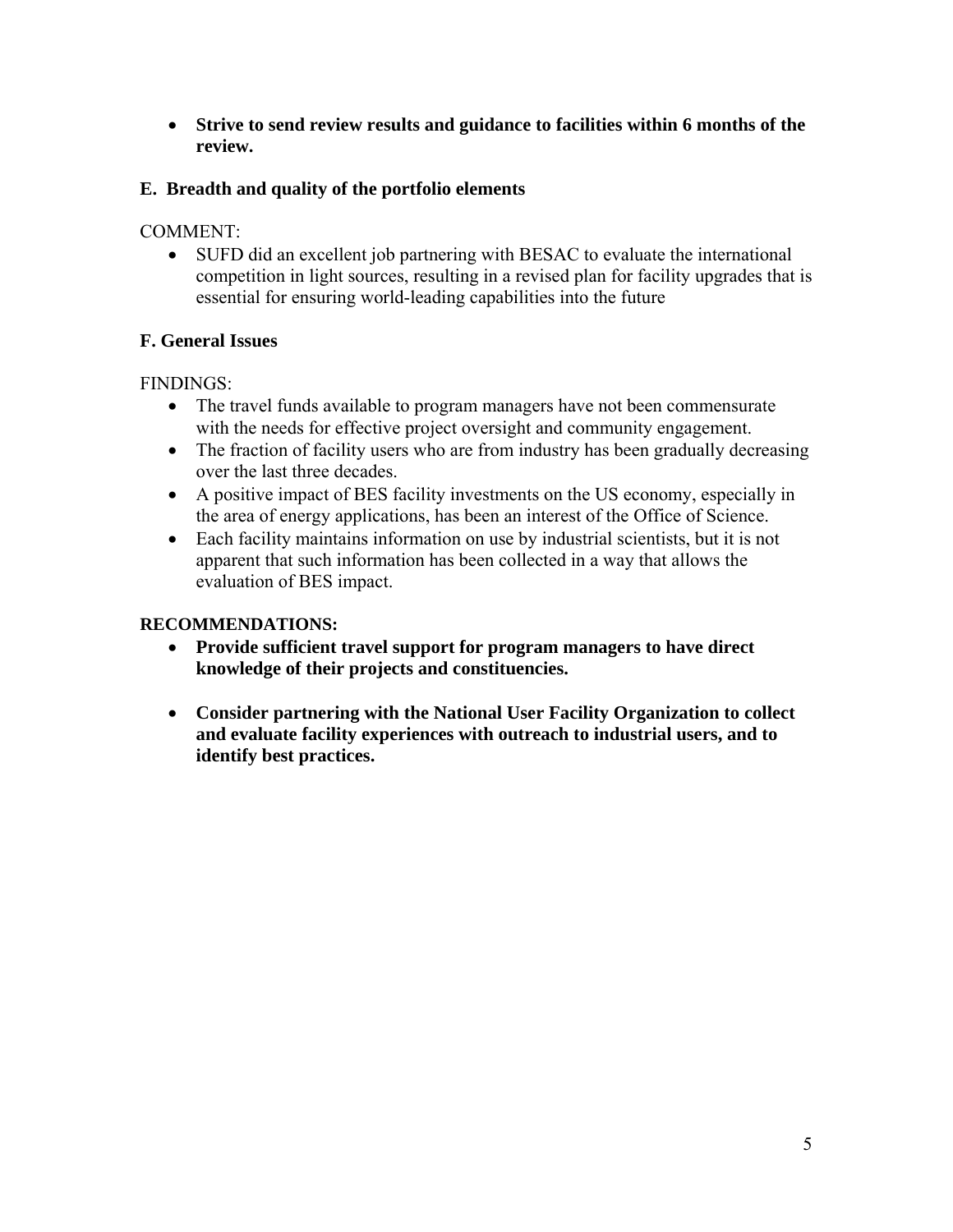**Strive to send review results and guidance to facilities within 6 months of the review.**

### **E. Breadth and quality of the portfolio elements**

COMMENT:

 SUFD did an excellent job partnering with BESAC to evaluate the international competition in light sources, resulting in a revised plan for facility upgrades that is essential for ensuring world-leading capabilities into the future

### **F. General Issues**

FINDINGS:

- The travel funds available to program managers have not been commensurate with the needs for effective project oversight and community engagement.
- The fraction of facility users who are from industry has been gradually decreasing over the last three decades.
- A positive impact of BES facility investments on the US economy, especially in the area of energy applications, has been an interest of the Office of Science.
- Each facility maintains information on use by industrial scientists, but it is not apparent that such information has been collected in a way that allows the evaluation of BES impact.

### **RECOMMENDATIONS:**

- **Provide sufficient travel support for program managers to have direct knowledge of their projects and constituencies.**
- **Consider partnering with the National User Facility Organization to collect and evaluate facility experiences with outreach to industrial users, and to identify best practices.**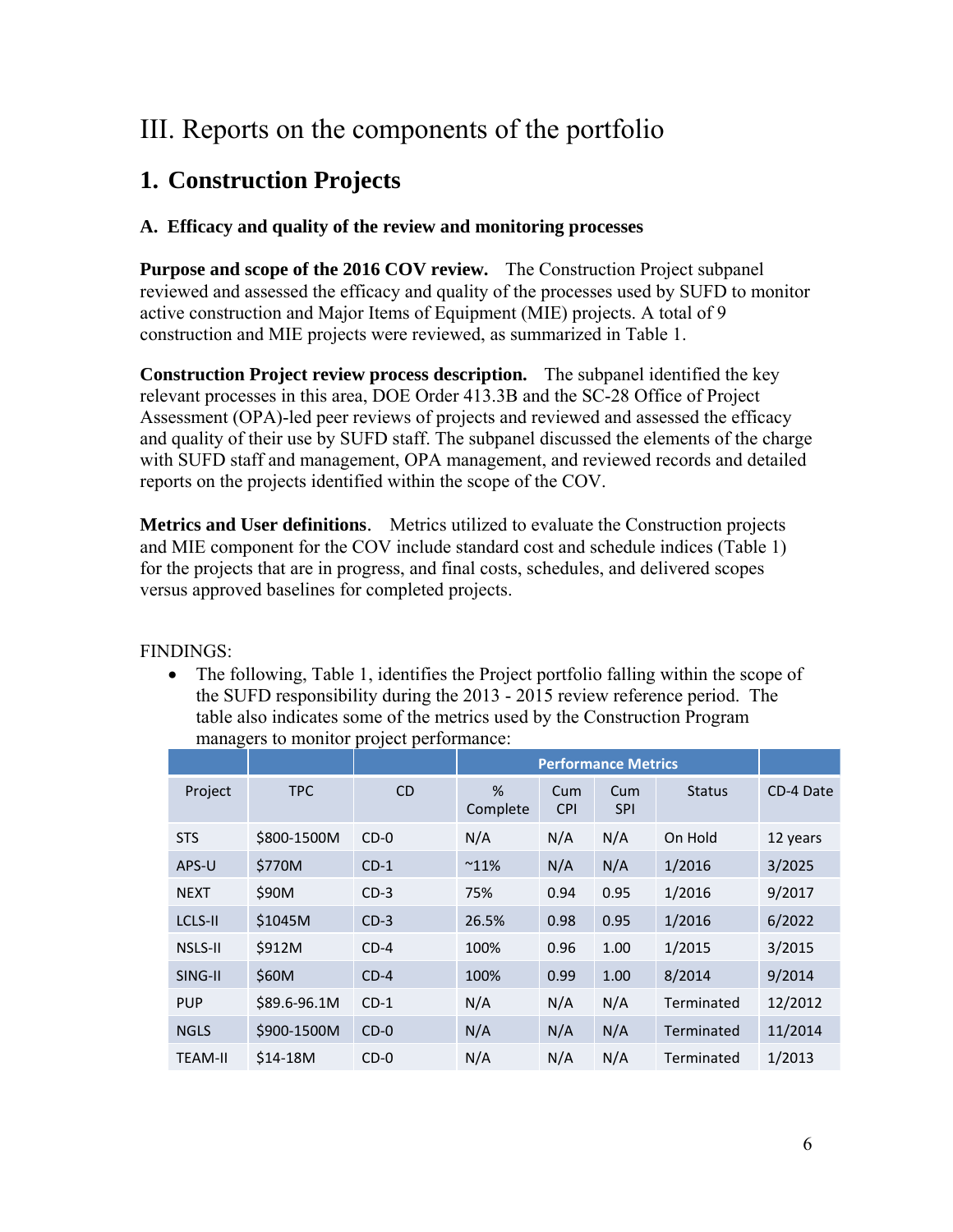## III. Reports on the components of the portfolio

## **1. Construction Projects**

### **A. Efficacy and quality of the review and monitoring processes**

**Purpose and scope of the 2016 COV review.** The Construction Project subpanel reviewed and assessed the efficacy and quality of the processes used by SUFD to monitor active construction and Major Items of Equipment (MIE) projects. A total of 9 construction and MIE projects were reviewed, as summarized in Table 1.

**Construction Project review process description.** The subpanel identified the key relevant processes in this area, DOE Order 413.3B and the SC-28 Office of Project Assessment (OPA)-led peer reviews of projects and reviewed and assessed the efficacy and quality of their use by SUFD staff. The subpanel discussed the elements of the charge with SUFD staff and management, OPA management, and reviewed records and detailed reports on the projects identified within the scope of the COV.

**Metrics and User definitions**. Metrics utilized to evaluate the Construction projects and MIE component for the COV include standard cost and schedule indices (Table 1) for the projects that are in progress, and final costs, schedules, and delivered scopes versus approved baselines for completed projects.

FINDINGS:

 The following, Table 1, identifies the Project portfolio falling within the scope of the SUFD responsibility during the 2013 - 2015 review reference period. The table also indicates some of the metrics used by the Construction Program managers to monitor project performance:

|                |              |           | <b>Performance Metrics</b> |                   |                   |               |           |
|----------------|--------------|-----------|----------------------------|-------------------|-------------------|---------------|-----------|
| Project        | <b>TPC</b>   | <b>CD</b> | %<br>Complete              | Cum<br><b>CPI</b> | Cum<br><b>SPI</b> | <b>Status</b> | CD-4 Date |
| <b>STS</b>     | \$800-1500M  | $CD-0$    | N/A                        | N/A               | N/A               | On Hold       | 12 years  |
| APS-U          | \$770M       | $CD-1$    | $^{\sim}11\%$              | N/A               | N/A               | 1/2016        | 3/2025    |
| <b>NEXT</b>    | \$90M        | $CD-3$    | 75%                        | 0.94              | 0.95              | 1/2016        | 9/2017    |
| LCLS-II        | \$1045M      | $CD-3$    | 26.5%                      | 0.98              | 0.95              | 1/2016        | 6/2022    |
| <b>NSLS-II</b> | \$912M       | $CD-4$    | 100%                       | 0.96              | 1.00              | 1/2015        | 3/2015    |
| SING-II        | \$60M        | $CD-4$    | 100%                       | 0.99              | 1.00              | 8/2014        | 9/2014    |
| <b>PUP</b>     | \$89.6-96.1M | $CD-1$    | N/A                        | N/A               | N/A               | Terminated    | 12/2012   |
| <b>NGLS</b>    | \$900-1500M  | $CD-0$    | N/A                        | N/A               | N/A               | Terminated    | 11/2014   |
| <b>TEAM-II</b> | $$14-18M$    | $CD-0$    | N/A                        | N/A               | N/A               | Terminated    | 1/2013    |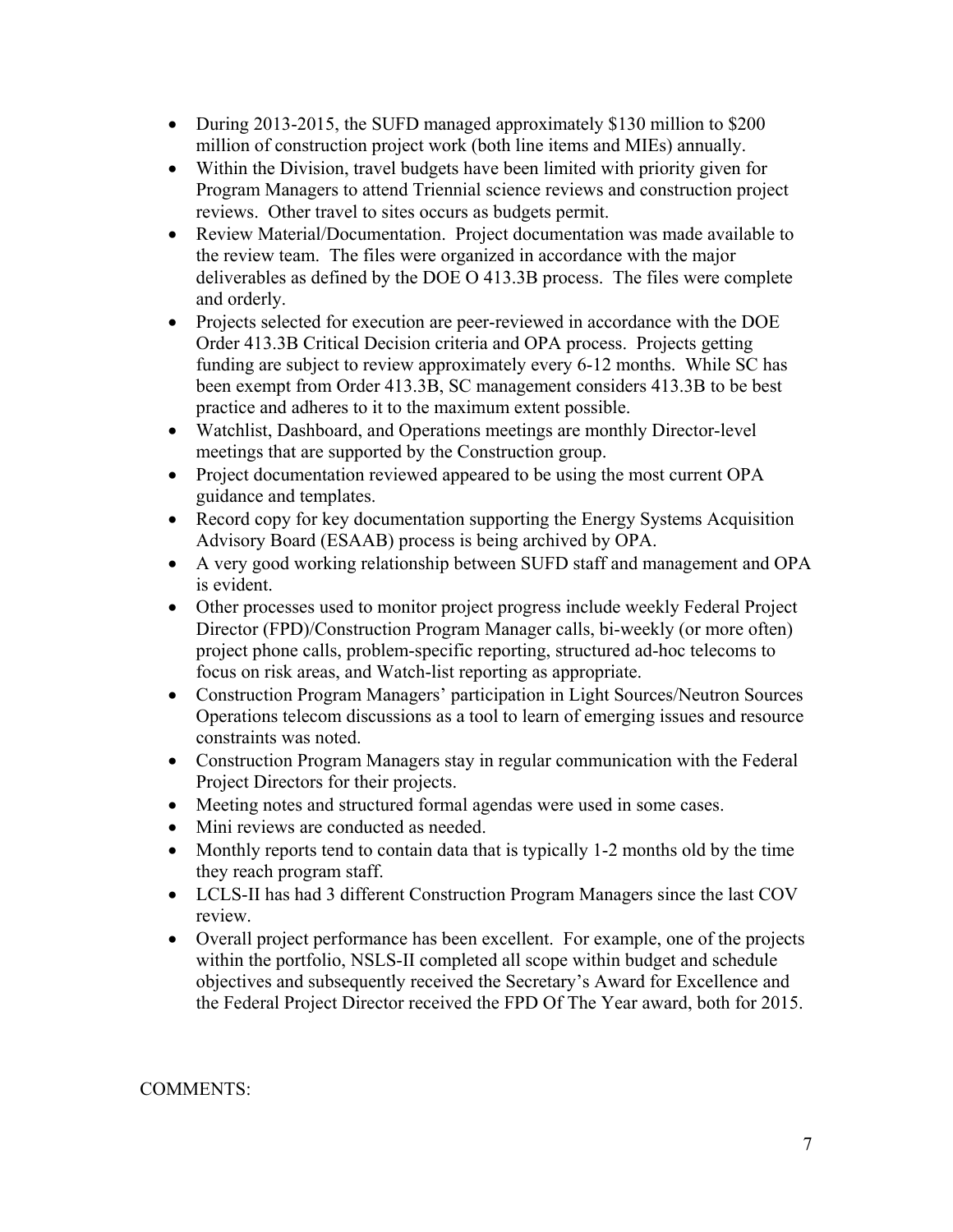- During 2013-2015, the SUFD managed approximately \$130 million to \$200 million of construction project work (both line items and MIEs) annually.
- Within the Division, travel budgets have been limited with priority given for Program Managers to attend Triennial science reviews and construction project reviews. Other travel to sites occurs as budgets permit.
- Review Material/Documentation. Project documentation was made available to the review team. The files were organized in accordance with the major deliverables as defined by the DOE O 413.3B process. The files were complete and orderly.
- Projects selected for execution are peer-reviewed in accordance with the DOE Order 413.3B Critical Decision criteria and OPA process. Projects getting funding are subject to review approximately every 6-12 months. While SC has been exempt from Order 413.3B, SC management considers 413.3B to be best practice and adheres to it to the maximum extent possible.
- Watchlist, Dashboard, and Operations meetings are monthly Director-level meetings that are supported by the Construction group.
- Project documentation reviewed appeared to be using the most current OPA guidance and templates.
- Record copy for key documentation supporting the Energy Systems Acquisition Advisory Board (ESAAB) process is being archived by OPA.
- A very good working relationship between SUFD staff and management and OPA is evident.
- Other processes used to monitor project progress include weekly Federal Project Director (FPD)/Construction Program Manager calls, bi-weekly (or more often) project phone calls, problem-specific reporting, structured ad-hoc telecoms to focus on risk areas, and Watch-list reporting as appropriate.
- Construction Program Managers' participation in Light Sources/Neutron Sources Operations telecom discussions as a tool to learn of emerging issues and resource constraints was noted.
- Construction Program Managers stay in regular communication with the Federal Project Directors for their projects.
- Meeting notes and structured formal agendas were used in some cases.
- Mini reviews are conducted as needed.
- Monthly reports tend to contain data that is typically 1-2 months old by the time they reach program staff.
- LCLS-II has had 3 different Construction Program Managers since the last COV review.
- Overall project performance has been excellent. For example, one of the projects within the portfolio, NSLS-II completed all scope within budget and schedule objectives and subsequently received the Secretary's Award for Excellence and the Federal Project Director received the FPD Of The Year award, both for 2015.

#### COMMENTS: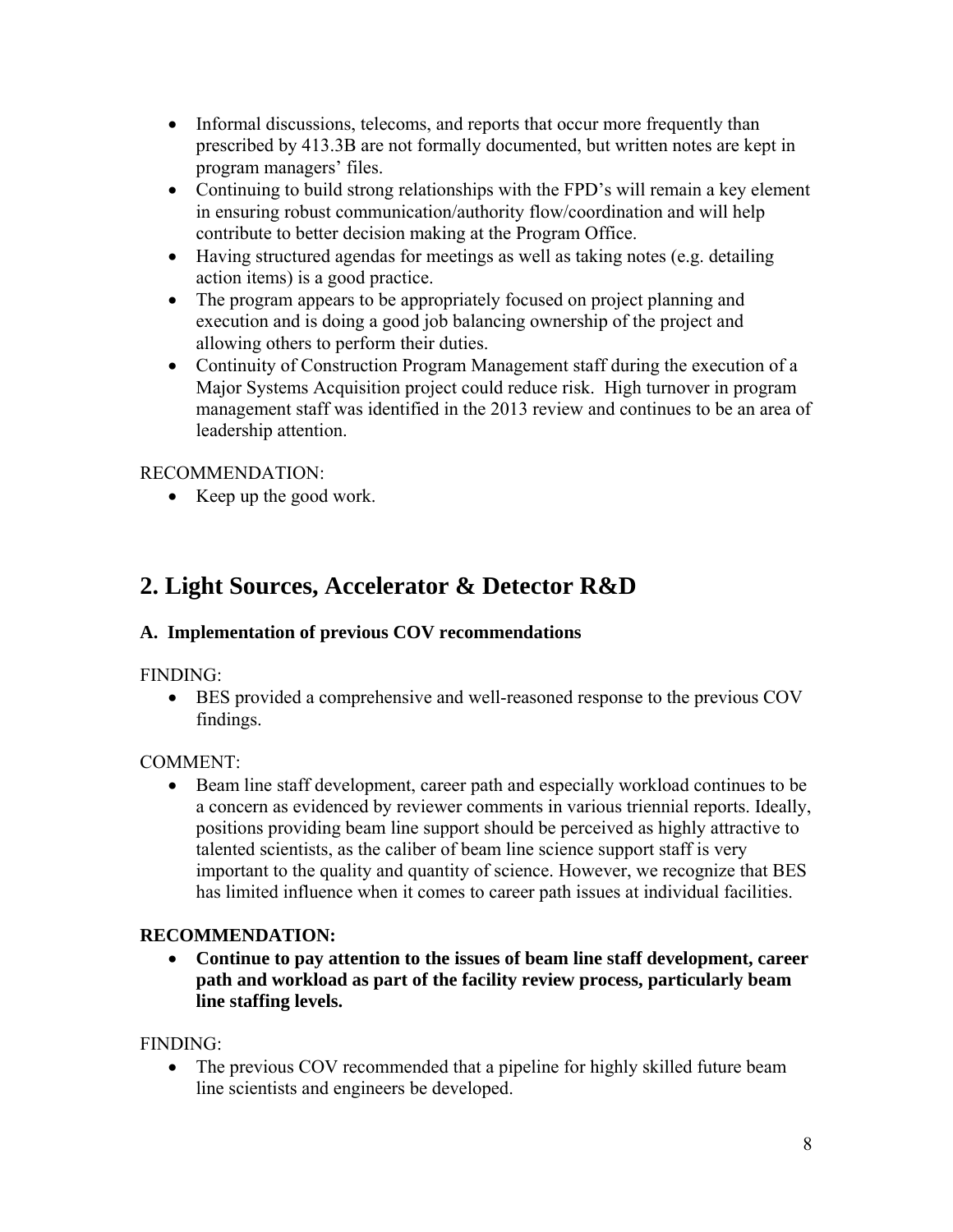- Informal discussions, telecoms, and reports that occur more frequently than prescribed by 413.3B are not formally documented, but written notes are kept in program managers' files.
- Continuing to build strong relationships with the FPD's will remain a key element in ensuring robust communication/authority flow/coordination and will help contribute to better decision making at the Program Office.
- Having structured agendas for meetings as well as taking notes (e.g. detailing action items) is a good practice.
- The program appears to be appropriately focused on project planning and execution and is doing a good job balancing ownership of the project and allowing others to perform their duties.
- Continuity of Construction Program Management staff during the execution of a Major Systems Acquisition project could reduce risk. High turnover in program management staff was identified in the 2013 review and continues to be an area of leadership attention.

### RECOMMENDATION:

 $\bullet$  Keep up the good work.

## **2. Light Sources, Accelerator & Detector R&D**

### **A. Implementation of previous COV recommendations**

### FINDING:

 BES provided a comprehensive and well-reasoned response to the previous COV findings.

### COMMENT:

 Beam line staff development, career path and especially workload continues to be a concern as evidenced by reviewer comments in various triennial reports. Ideally, positions providing beam line support should be perceived as highly attractive to talented scientists, as the caliber of beam line science support staff is very important to the quality and quantity of science. However, we recognize that BES has limited influence when it comes to career path issues at individual facilities.

### **RECOMMENDATION:**

 **Continue to pay attention to the issues of beam line staff development, career path and workload as part of the facility review process, particularly beam line staffing levels.** 

### FINDING:

• The previous COV recommended that a pipeline for highly skilled future beam line scientists and engineers be developed.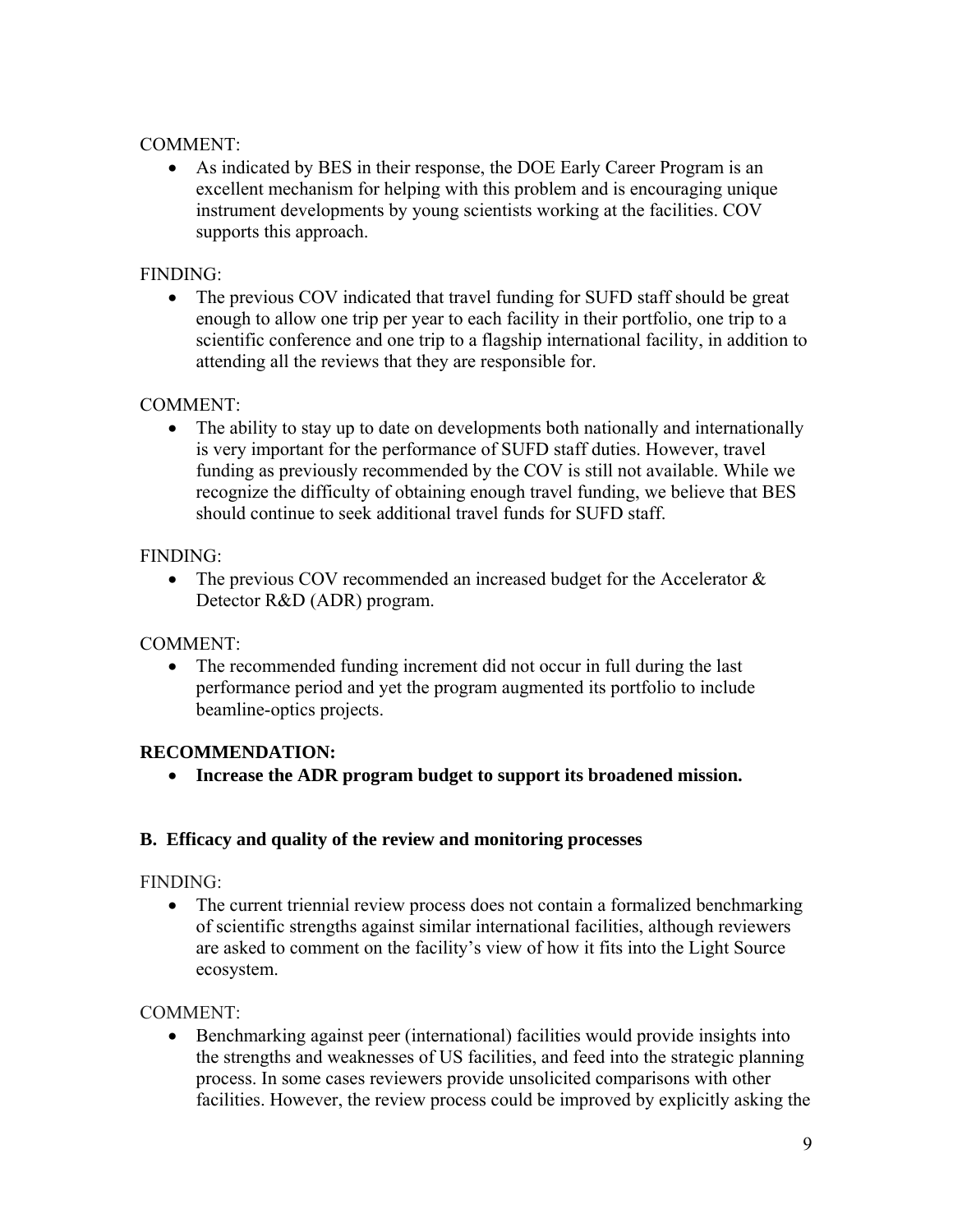#### COMMENT:

 As indicated by BES in their response, the DOE Early Career Program is an excellent mechanism for helping with this problem and is encouraging unique instrument developments by young scientists working at the facilities. COV supports this approach.

#### FINDING:

• The previous COV indicated that travel funding for SUFD staff should be great enough to allow one trip per year to each facility in their portfolio, one trip to a scientific conference and one trip to a flagship international facility, in addition to attending all the reviews that they are responsible for.

#### COMMENT:

• The ability to stay up to date on developments both nationally and internationally is very important for the performance of SUFD staff duties. However, travel funding as previously recommended by the COV is still not available. While we recognize the difficulty of obtaining enough travel funding, we believe that BES should continue to seek additional travel funds for SUFD staff.

### FINDING:

• The previous COV recommended an increased budget for the Accelerator  $\&$ Detector R&D (ADR) program.

### COMMENT:

• The recommended funding increment did not occur in full during the last performance period and yet the program augmented its portfolio to include beamline-optics projects.

### **RECOMMENDATION:**

**Increase the ADR program budget to support its broadened mission.** 

#### **B. Efficacy and quality of the review and monitoring processes**

#### FINDING:

• The current triennial review process does not contain a formalized benchmarking of scientific strengths against similar international facilities, although reviewers are asked to comment on the facility's view of how it fits into the Light Source ecosystem.

### COMMENT:

 Benchmarking against peer (international) facilities would provide insights into the strengths and weaknesses of US facilities, and feed into the strategic planning process. In some cases reviewers provide unsolicited comparisons with other facilities. However, the review process could be improved by explicitly asking the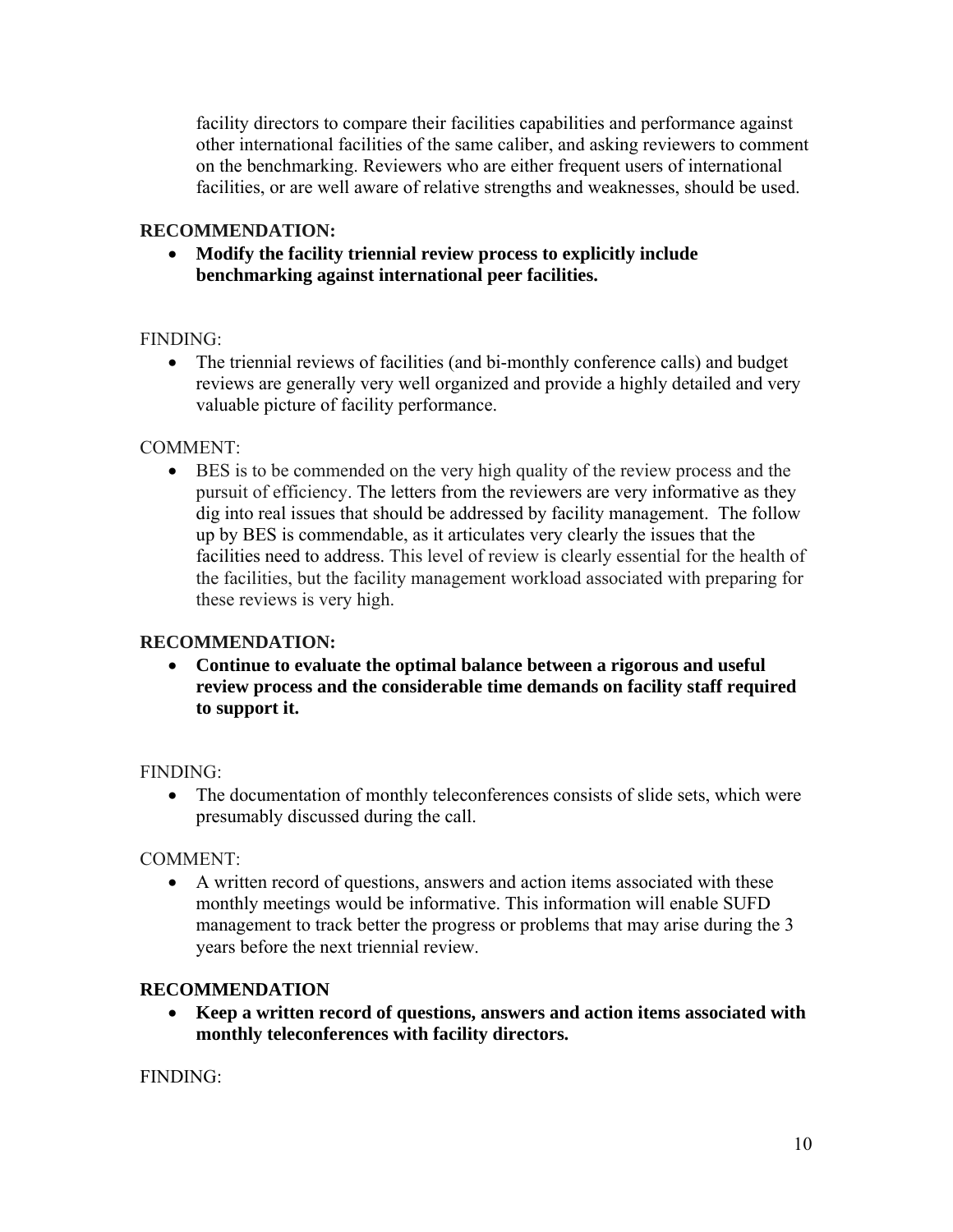facility directors to compare their facilities capabilities and performance against other international facilities of the same caliber, and asking reviewers to comment on the benchmarking. Reviewers who are either frequent users of international facilities, or are well aware of relative strengths and weaknesses, should be used.

#### **RECOMMENDATION:**

 **Modify the facility triennial review process to explicitly include benchmarking against international peer facilities.** 

#### FINDING:

• The triennial reviews of facilities (and bi-monthly conference calls) and budget reviews are generally very well organized and provide a highly detailed and very valuable picture of facility performance.

#### COMMENT:

 BES is to be commended on the very high quality of the review process and the pursuit of efficiency. The letters from the reviewers are very informative as they dig into real issues that should be addressed by facility management. The follow up by BES is commendable, as it articulates very clearly the issues that the facilities need to address. This level of review is clearly essential for the health of the facilities, but the facility management workload associated with preparing for these reviews is very high.

#### **RECOMMENDATION:**

 **Continue to evaluate the optimal balance between a rigorous and useful review process and the considerable time demands on facility staff required to support it.** 

#### FINDING:

• The documentation of monthly teleconferences consists of slide sets, which were presumably discussed during the call.

### COMMENT:

 A written record of questions, answers and action items associated with these monthly meetings would be informative. This information will enable SUFD management to track better the progress or problems that may arise during the 3 years before the next triennial review.

#### **RECOMMENDATION**

 **Keep a written record of questions, answers and action items associated with monthly teleconferences with facility directors.** 

FINDING: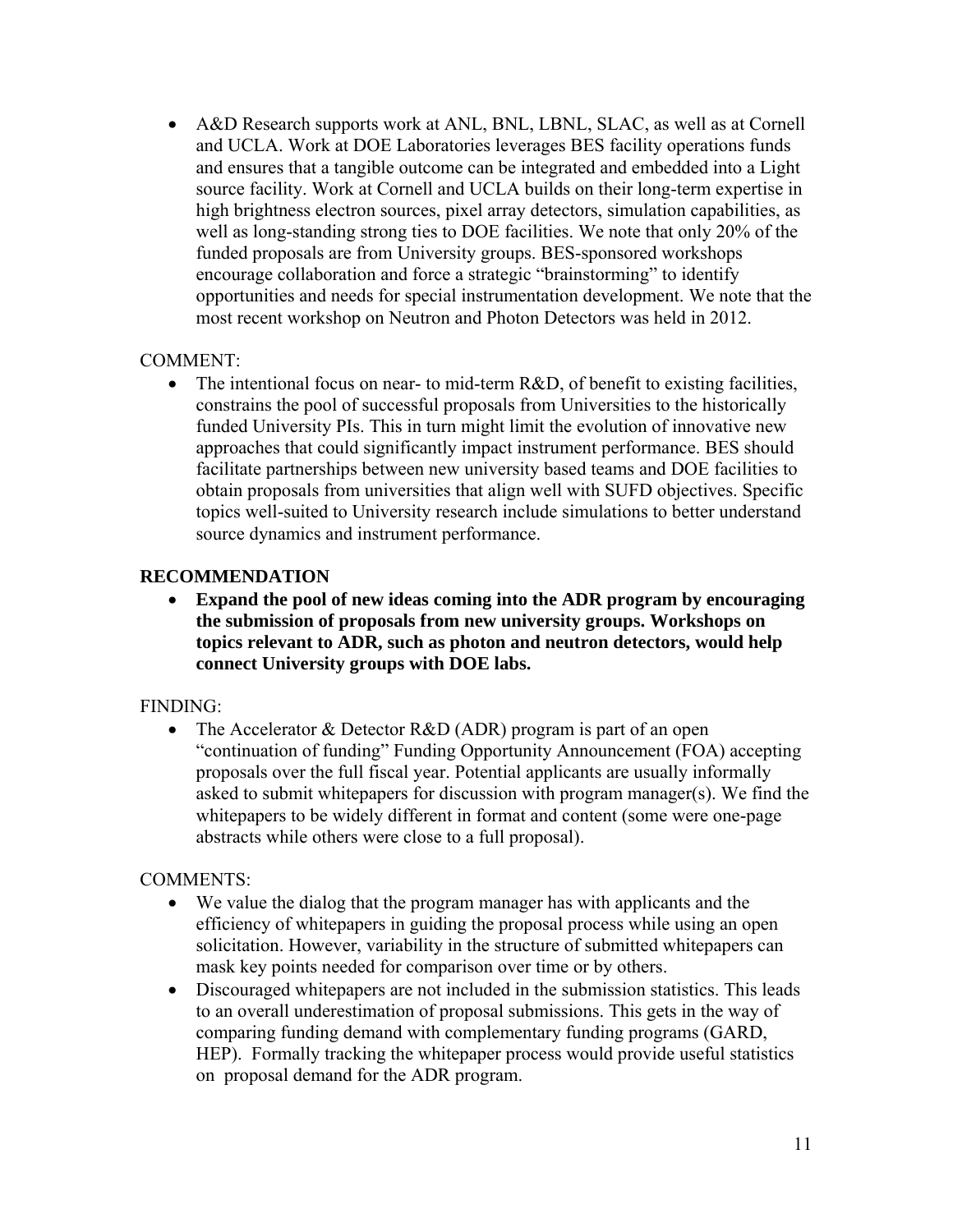A&D Research supports work at ANL, BNL, LBNL, SLAC, as well as at Cornell and UCLA. Work at DOE Laboratories leverages BES facility operations funds and ensures that a tangible outcome can be integrated and embedded into a Light source facility. Work at Cornell and UCLA builds on their long-term expertise in high brightness electron sources, pixel array detectors, simulation capabilities, as well as long-standing strong ties to DOE facilities. We note that only 20% of the funded proposals are from University groups. BES-sponsored workshops encourage collaboration and force a strategic "brainstorming" to identify opportunities and needs for special instrumentation development. We note that the most recent workshop on Neutron and Photon Detectors was held in 2012.

#### COMMENT:

• The intentional focus on near- to mid-term R&D, of benefit to existing facilities, constrains the pool of successful proposals from Universities to the historically funded University PIs. This in turn might limit the evolution of innovative new approaches that could significantly impact instrument performance. BES should facilitate partnerships between new university based teams and DOE facilities to obtain proposals from universities that align well with SUFD objectives. Specific topics well-suited to University research include simulations to better understand source dynamics and instrument performance.

#### **RECOMMENDATION**

 **Expand the pool of new ideas coming into the ADR program by encouraging the submission of proposals from new university groups. Workshops on topics relevant to ADR, such as photon and neutron detectors, would help connect University groups with DOE labs.** 

#### FINDING:

• The Accelerator & Detector R&D (ADR) program is part of an open "continuation of funding" Funding Opportunity Announcement (FOA) accepting proposals over the full fiscal year. Potential applicants are usually informally asked to submit whitepapers for discussion with program manager(s). We find the whitepapers to be widely different in format and content (some were one-page abstracts while others were close to a full proposal).

#### COMMENTS:

- We value the dialog that the program manager has with applicants and the efficiency of whitepapers in guiding the proposal process while using an open solicitation. However, variability in the structure of submitted whitepapers can mask key points needed for comparison over time or by others.
- Discouraged whitepapers are not included in the submission statistics. This leads to an overall underestimation of proposal submissions. This gets in the way of comparing funding demand with complementary funding programs (GARD, HEP). Formally tracking the whitepaper process would provide useful statistics on proposal demand for the ADR program.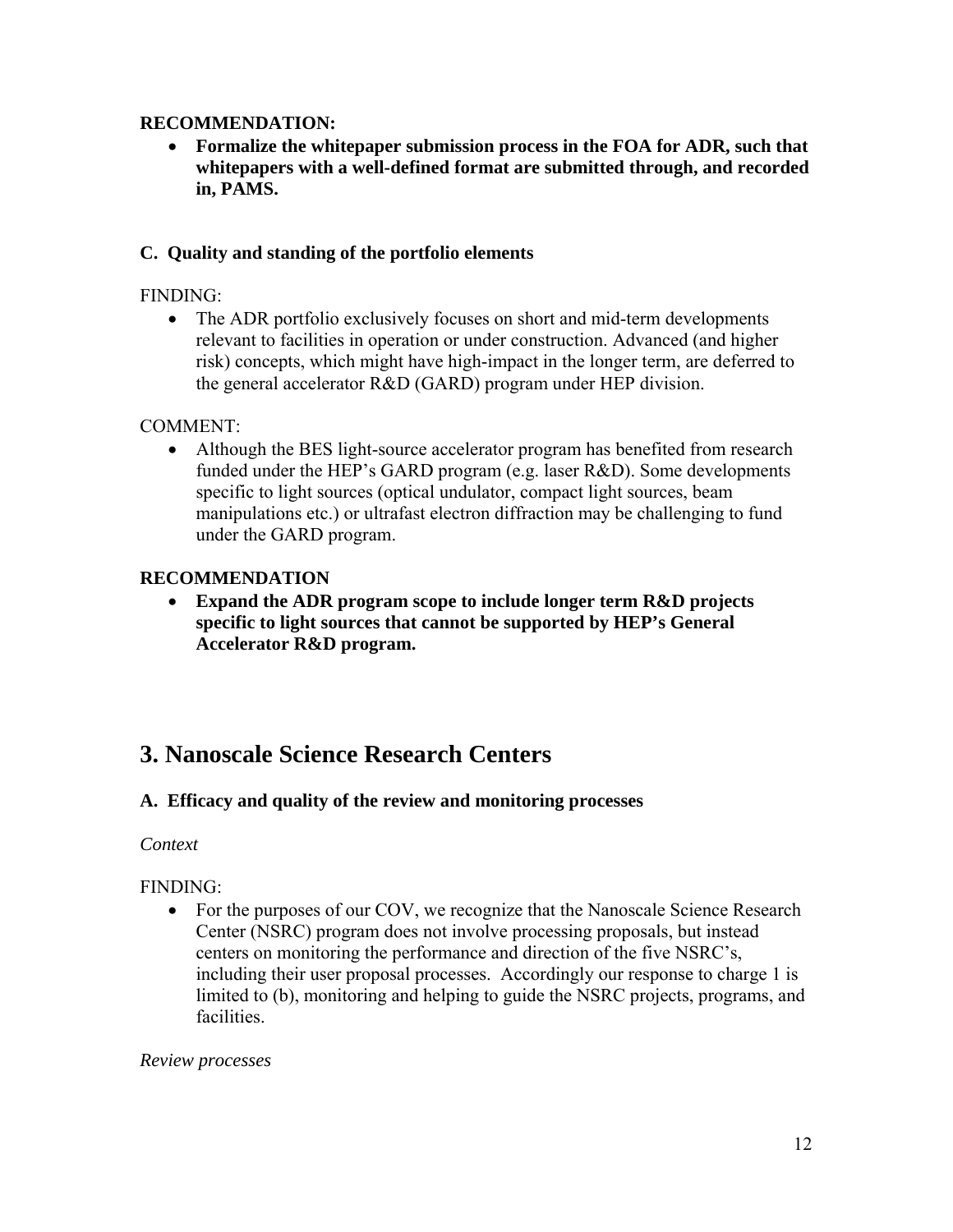#### **RECOMMENDATION:**

 **Formalize the whitepaper submission process in the FOA for ADR, such that whitepapers with a well-defined format are submitted through, and recorded in, PAMS.** 

#### **C. Quality and standing of the portfolio elements**

#### FINDING:

• The ADR portfolio exclusively focuses on short and mid-term developments relevant to facilities in operation or under construction. Advanced (and higher risk) concepts, which might have high-impact in the longer term, are deferred to the general accelerator R&D (GARD) program under HEP division.

#### COMMENT:

 Although the BES light-source accelerator program has benefited from research funded under the HEP's GARD program (e.g. laser R&D). Some developments specific to light sources (optical undulator, compact light sources, beam manipulations etc.) or ultrafast electron diffraction may be challenging to fund under the GARD program.

#### **RECOMMENDATION**

 **Expand the ADR program scope to include longer term R&D projects specific to light sources that cannot be supported by HEP's General Accelerator R&D program.** 

## **3. Nanoscale Science Research Centers**

#### **A. Efficacy and quality of the review and monitoring processes**

#### *Context*

#### FINDING:

• For the purposes of our COV, we recognize that the Nanoscale Science Research Center (NSRC) program does not involve processing proposals, but instead centers on monitoring the performance and direction of the five NSRC's, including their user proposal processes. Accordingly our response to charge 1 is limited to (b), monitoring and helping to guide the NSRC projects, programs, and facilities.

#### *Review processes*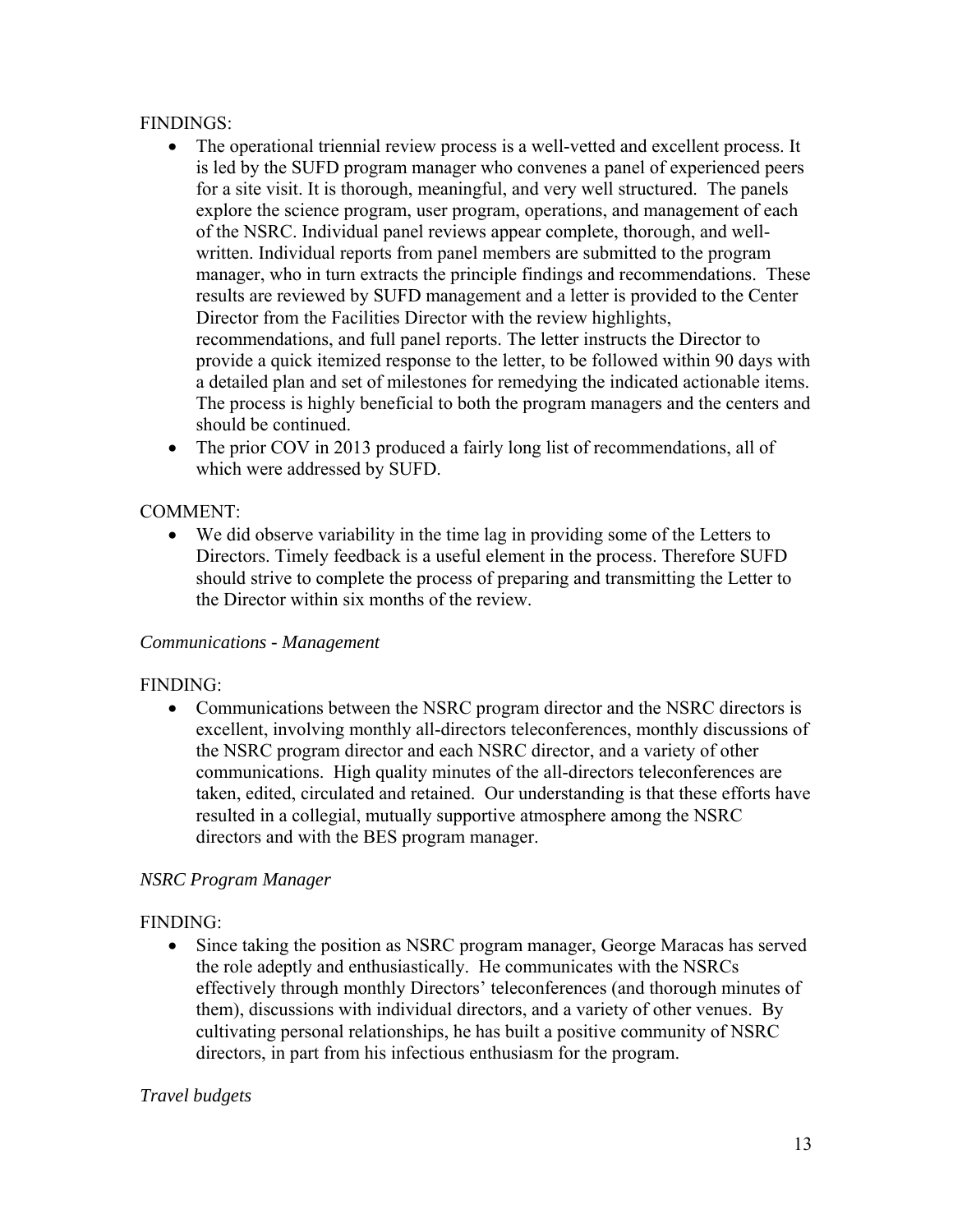#### FINDINGS:

- The operational triennial review process is a well-vetted and excellent process. It is led by the SUFD program manager who convenes a panel of experienced peers for a site visit. It is thorough, meaningful, and very well structured. The panels explore the science program, user program, operations, and management of each of the NSRC. Individual panel reviews appear complete, thorough, and wellwritten. Individual reports from panel members are submitted to the program manager, who in turn extracts the principle findings and recommendations. These results are reviewed by SUFD management and a letter is provided to the Center Director from the Facilities Director with the review highlights, recommendations, and full panel reports. The letter instructs the Director to provide a quick itemized response to the letter, to be followed within 90 days with a detailed plan and set of milestones for remedying the indicated actionable items. The process is highly beneficial to both the program managers and the centers and should be continued.
- The prior COV in 2013 produced a fairly long list of recommendations, all of which were addressed by SUFD.

#### COMMENT:

 We did observe variability in the time lag in providing some of the Letters to Directors. Timely feedback is a useful element in the process. Therefore SUFD should strive to complete the process of preparing and transmitting the Letter to the Director within six months of the review.

#### *Communications - Management*

#### FINDING:

• Communications between the NSRC program director and the NSRC directors is excellent, involving monthly all-directors teleconferences, monthly discussions of the NSRC program director and each NSRC director, and a variety of other communications. High quality minutes of the all-directors teleconferences are taken, edited, circulated and retained. Our understanding is that these efforts have resulted in a collegial, mutually supportive atmosphere among the NSRC directors and with the BES program manager.

#### *NSRC Program Manager*

#### FINDING:

• Since taking the position as NSRC program manager, George Maracas has served the role adeptly and enthusiastically. He communicates with the NSRCs effectively through monthly Directors' teleconferences (and thorough minutes of them), discussions with individual directors, and a variety of other venues. By cultivating personal relationships, he has built a positive community of NSRC directors, in part from his infectious enthusiasm for the program.

#### *Travel budgets*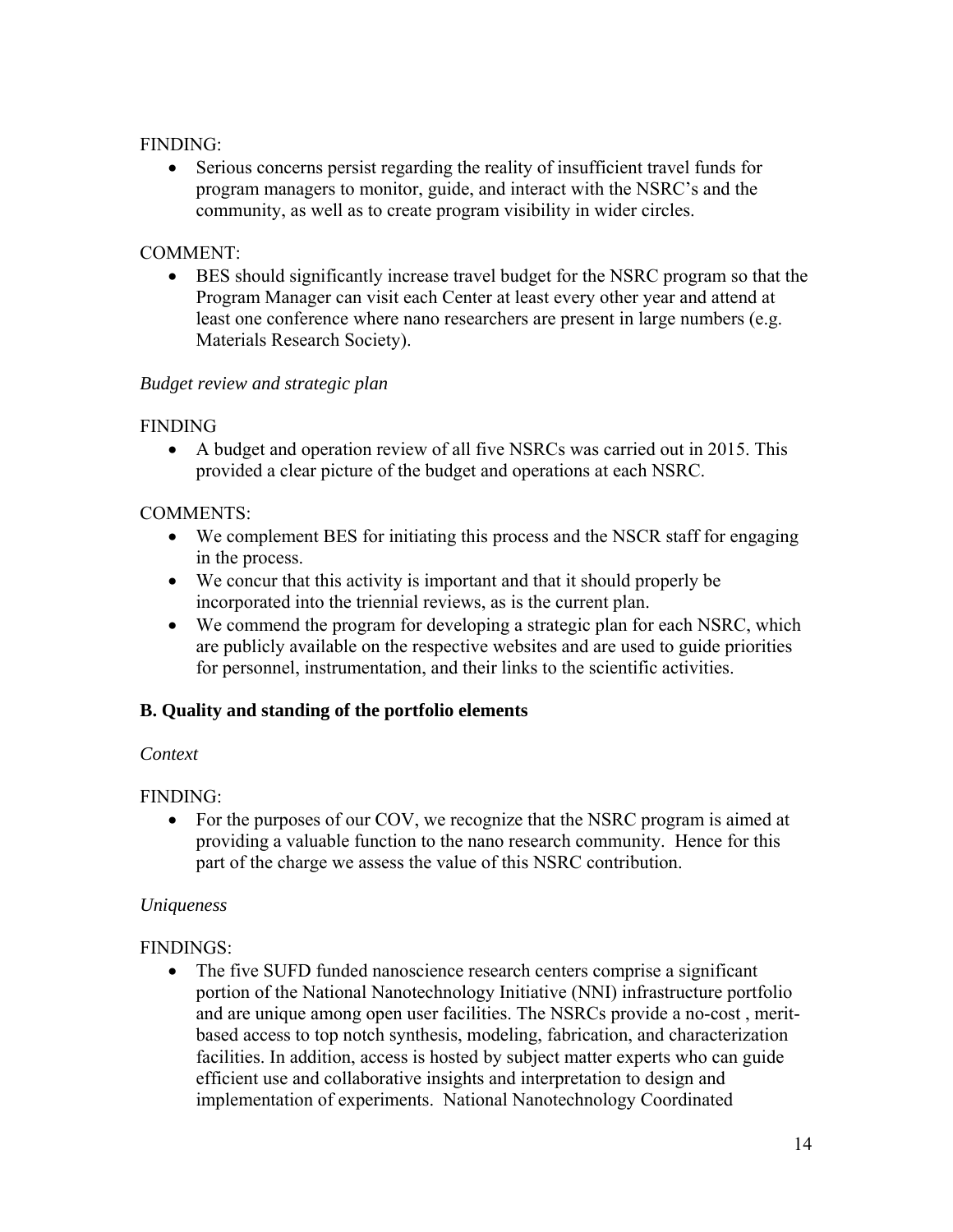#### FINDING:

 Serious concerns persist regarding the reality of insufficient travel funds for program managers to monitor, guide, and interact with the NSRC's and the community, as well as to create program visibility in wider circles.

#### COMMENT:

 BES should significantly increase travel budget for the NSRC program so that the Program Manager can visit each Center at least every other year and attend at least one conference where nano researchers are present in large numbers (e.g. Materials Research Society).

#### *Budget review and strategic plan*

#### FINDING

 A budget and operation review of all five NSRCs was carried out in 2015. This provided a clear picture of the budget and operations at each NSRC.

#### COMMENTS:

- We complement BES for initiating this process and the NSCR staff for engaging in the process.
- We concur that this activity is important and that it should properly be incorporated into the triennial reviews, as is the current plan.
- We commend the program for developing a strategic plan for each NSRC, which are publicly available on the respective websites and are used to guide priorities for personnel, instrumentation, and their links to the scientific activities.

### **B. Quality and standing of the portfolio elements**

#### *Context*

### FINDING:

• For the purposes of our COV, we recognize that the NSRC program is aimed at providing a valuable function to the nano research community. Hence for this part of the charge we assess the value of this NSRC contribution.

#### *Uniqueness*

#### FINDINGS:

• The five SUFD funded nanoscience research centers comprise a significant portion of the National Nanotechnology Initiative (NNI) infrastructure portfolio and are unique among open user facilities. The NSRCs provide a no-cost , meritbased access to top notch synthesis, modeling, fabrication, and characterization facilities. In addition, access is hosted by subject matter experts who can guide efficient use and collaborative insights and interpretation to design and implementation of experiments. National Nanotechnology Coordinated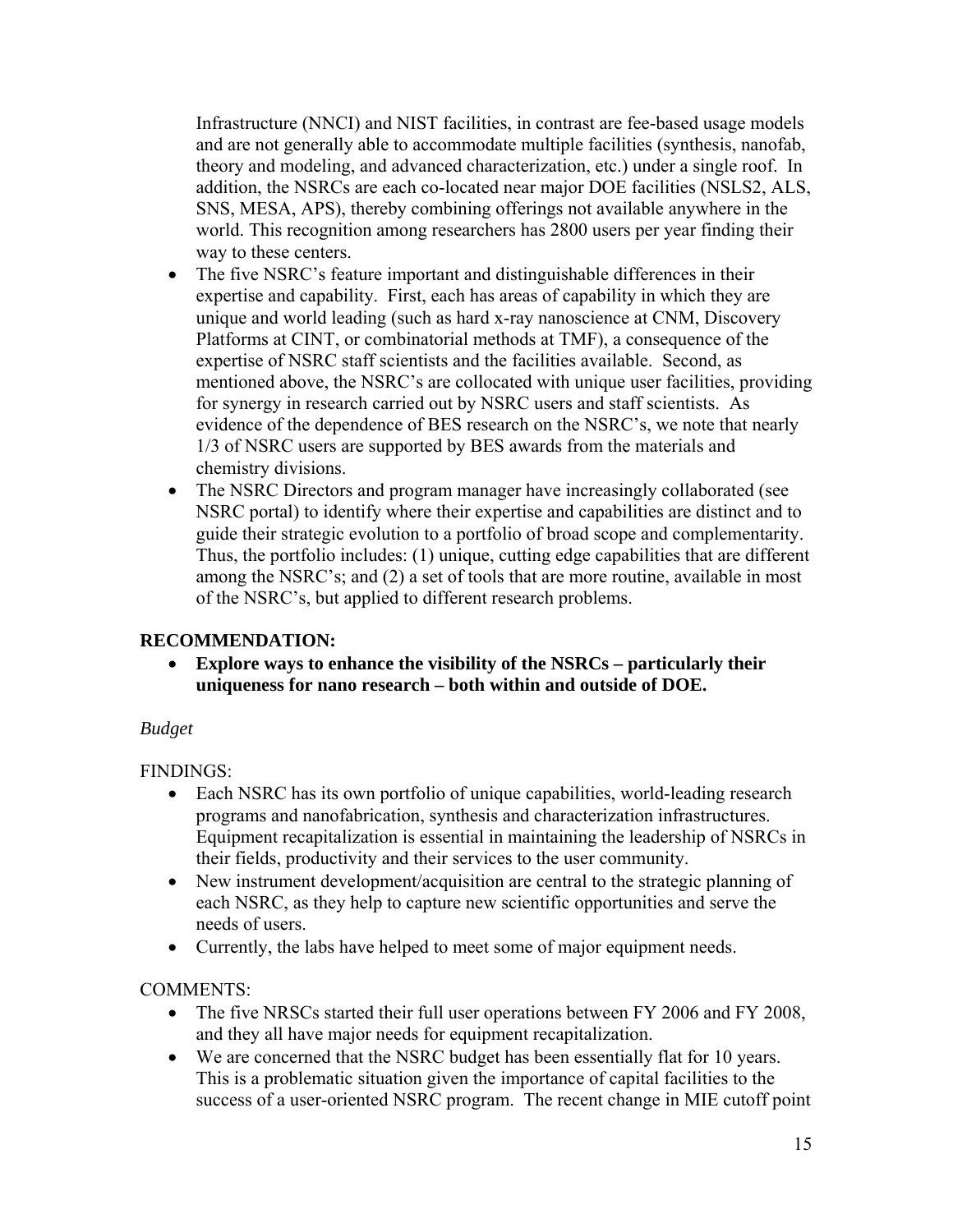Infrastructure (NNCI) and NIST facilities, in contrast are fee-based usage models and are not generally able to accommodate multiple facilities (synthesis, nanofab, theory and modeling, and advanced characterization, etc.) under a single roof. In addition, the NSRCs are each co-located near major DOE facilities (NSLS2, ALS, SNS, MESA, APS), thereby combining offerings not available anywhere in the world. This recognition among researchers has 2800 users per year finding their way to these centers.

- The five NSRC's feature important and distinguishable differences in their expertise and capability. First, each has areas of capability in which they are unique and world leading (such as hard x-ray nanoscience at CNM, Discovery Platforms at CINT, or combinatorial methods at TMF), a consequence of the expertise of NSRC staff scientists and the facilities available. Second, as mentioned above, the NSRC's are collocated with unique user facilities, providing for synergy in research carried out by NSRC users and staff scientists. As evidence of the dependence of BES research on the NSRC's, we note that nearly 1/3 of NSRC users are supported by BES awards from the materials and chemistry divisions.
- The NSRC Directors and program manager have increasingly collaborated (see NSRC portal) to identify where their expertise and capabilities are distinct and to guide their strategic evolution to a portfolio of broad scope and complementarity. Thus, the portfolio includes: (1) unique, cutting edge capabilities that are different among the NSRC's; and (2) a set of tools that are more routine, available in most of the NSRC's, but applied to different research problems.

### **RECOMMENDATION:**

 **Explore ways to enhance the visibility of the NSRCs – particularly their uniqueness for nano research – both within and outside of DOE.** 

#### *Budget*

FINDINGS:

- Each NSRC has its own portfolio of unique capabilities, world-leading research programs and nanofabrication, synthesis and characterization infrastructures. Equipment recapitalization is essential in maintaining the leadership of NSRCs in their fields, productivity and their services to the user community.
- New instrument development/acquisition are central to the strategic planning of each NSRC, as they help to capture new scientific opportunities and serve the needs of users.
- Currently, the labs have helped to meet some of major equipment needs.

COMMENTS:

- The five NRSCs started their full user operations between FY 2006 and FY 2008, and they all have major needs for equipment recapitalization.
- We are concerned that the NSRC budget has been essentially flat for 10 years. This is a problematic situation given the importance of capital facilities to the success of a user-oriented NSRC program. The recent change in MIE cutoff point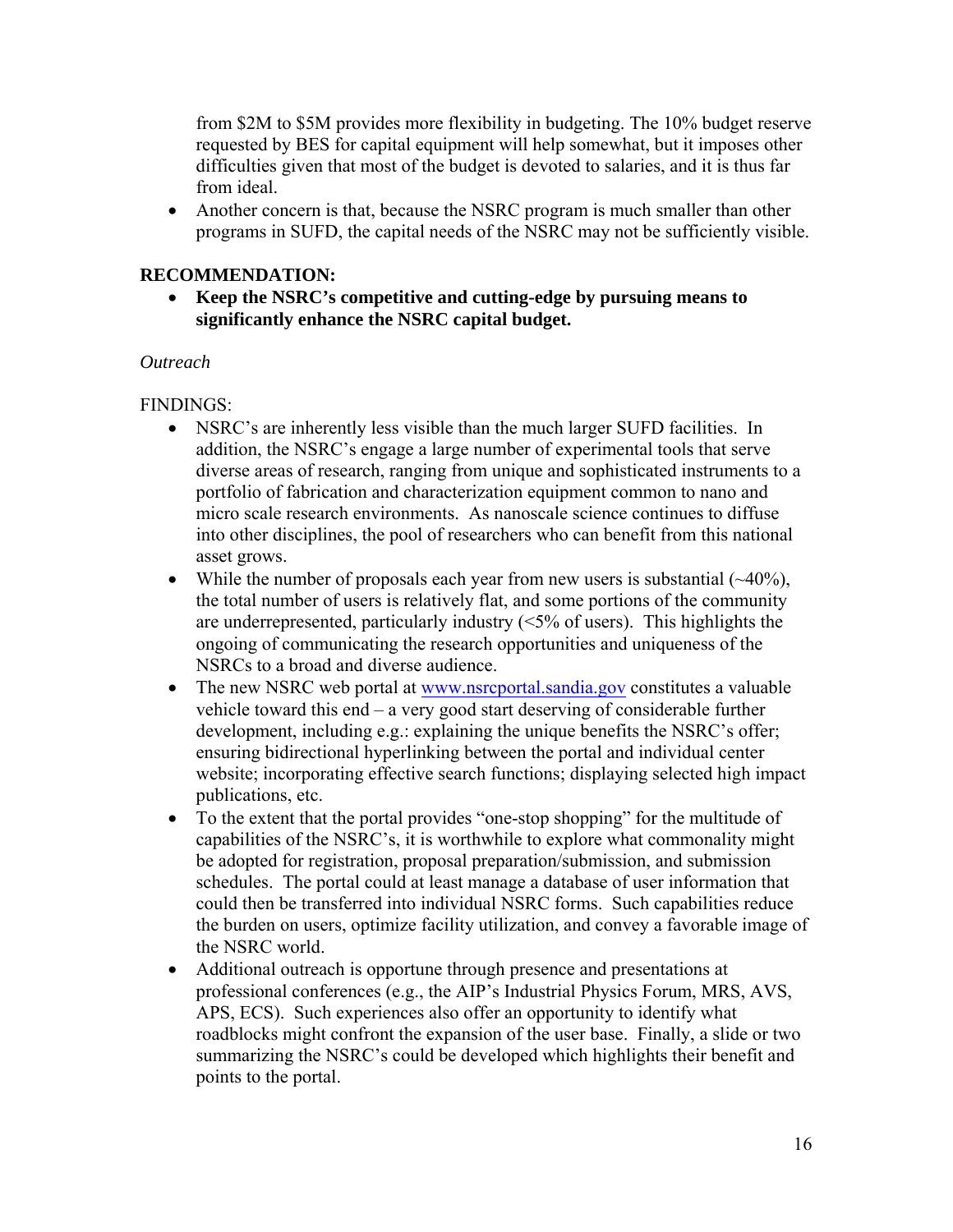from \$2M to \$5M provides more flexibility in budgeting. The 10% budget reserve requested by BES for capital equipment will help somewhat, but it imposes other difficulties given that most of the budget is devoted to salaries, and it is thus far from ideal.

 Another concern is that, because the NSRC program is much smaller than other programs in SUFD, the capital needs of the NSRC may not be sufficiently visible.

#### **RECOMMENDATION:**

 **Keep the NSRC's competitive and cutting-edge by pursuing means to significantly enhance the NSRC capital budget.** 

#### *Outreach*

#### FINDINGS:

- NSRC's are inherently less visible than the much larger SUFD facilities. In addition, the NSRC's engage a large number of experimental tools that serve diverse areas of research, ranging from unique and sophisticated instruments to a portfolio of fabrication and characterization equipment common to nano and micro scale research environments. As nanoscale science continues to diffuse into other disciplines, the pool of researchers who can benefit from this national asset grows.
- While the number of proposals each year from new users is substantial  $(\sim40\%)$ , the total number of users is relatively flat, and some portions of the community are underrepresented, particularly industry (<5% of users). This highlights the ongoing of communicating the research opportunities and uniqueness of the NSRCs to a broad and diverse audience.
- The new NSRC web portal at www.nsrcportal.sandia.gov constitutes a valuable vehicle toward this end – a very good start deserving of considerable further development, including e.g.: explaining the unique benefits the NSRC's offer; ensuring bidirectional hyperlinking between the portal and individual center website; incorporating effective search functions; displaying selected high impact publications, etc.
- To the extent that the portal provides "one-stop shopping" for the multitude of capabilities of the NSRC's, it is worthwhile to explore what commonality might be adopted for registration, proposal preparation/submission, and submission schedules. The portal could at least manage a database of user information that could then be transferred into individual NSRC forms. Such capabilities reduce the burden on users, optimize facility utilization, and convey a favorable image of the NSRC world.
- Additional outreach is opportune through presence and presentations at professional conferences (e.g., the AIP's Industrial Physics Forum, MRS, AVS, APS, ECS). Such experiences also offer an opportunity to identify what roadblocks might confront the expansion of the user base. Finally, a slide or two summarizing the NSRC's could be developed which highlights their benefit and points to the portal.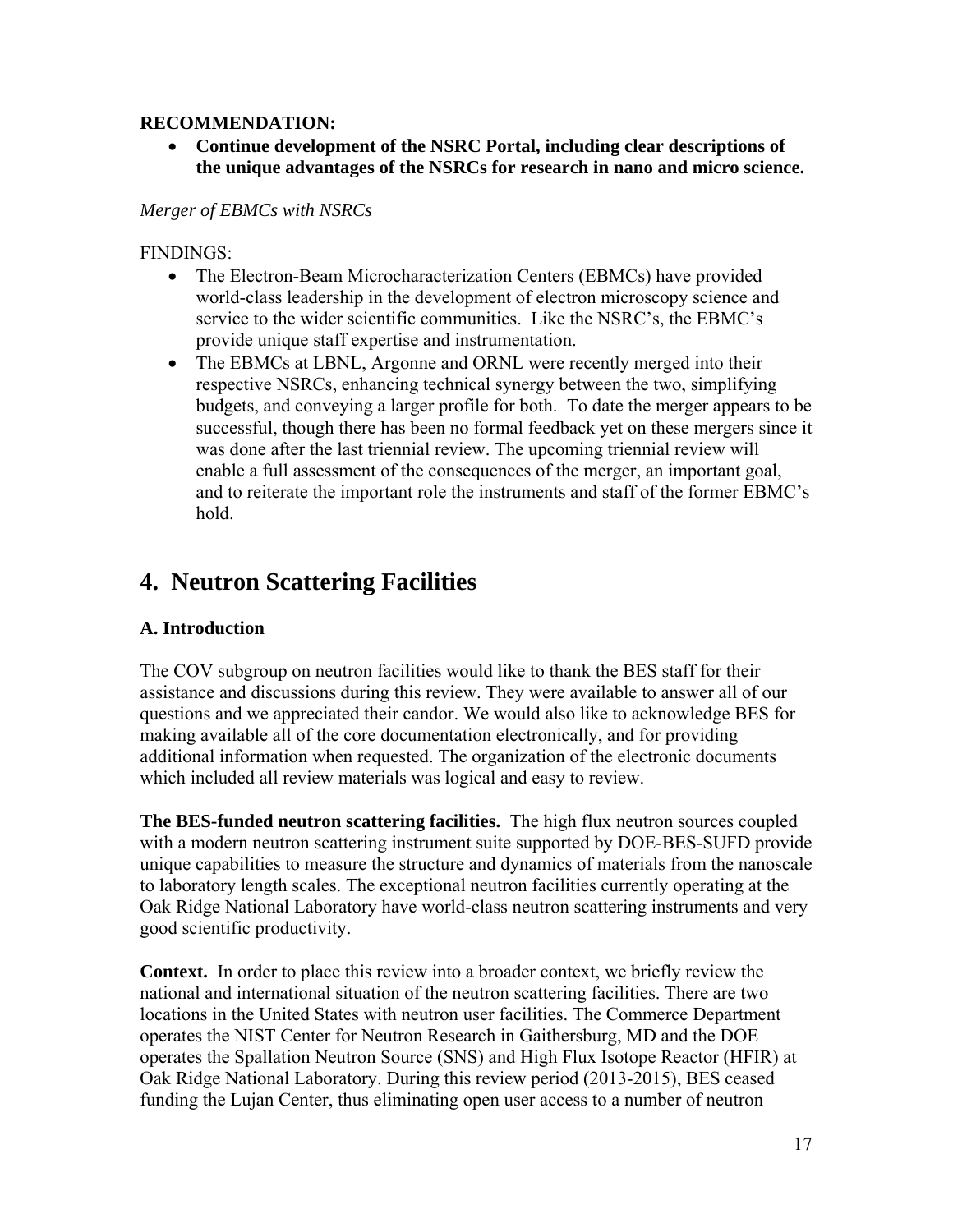#### **RECOMMENDATION:**

 **Continue development of the NSRC Portal, including clear descriptions of the unique advantages of the NSRCs for research in nano and micro science.** 

#### *Merger of EBMCs with NSRCs*

#### FINDINGS:

- The Electron-Beam Microcharacterization Centers (EBMCs) have provided world-class leadership in the development of electron microscopy science and service to the wider scientific communities. Like the NSRC's, the EBMC's provide unique staff expertise and instrumentation.
- The EBMCs at LBNL, Argonne and ORNL were recently merged into their respective NSRCs, enhancing technical synergy between the two, simplifying budgets, and conveying a larger profile for both. To date the merger appears to be successful, though there has been no formal feedback yet on these mergers since it was done after the last triennial review. The upcoming triennial review will enable a full assessment of the consequences of the merger, an important goal, and to reiterate the important role the instruments and staff of the former EBMC's hold.

## **4. Neutron Scattering Facilities**

#### **A. Introduction**

The COV subgroup on neutron facilities would like to thank the BES staff for their assistance and discussions during this review. They were available to answer all of our questions and we appreciated their candor. We would also like to acknowledge BES for making available all of the core documentation electronically, and for providing additional information when requested. The organization of the electronic documents which included all review materials was logical and easy to review.

**The BES-funded neutron scattering facilities.** The high flux neutron sources coupled with a modern neutron scattering instrument suite supported by DOE-BES-SUFD provide unique capabilities to measure the structure and dynamics of materials from the nanoscale to laboratory length scales. The exceptional neutron facilities currently operating at the Oak Ridge National Laboratory have world-class neutron scattering instruments and very good scientific productivity.

**Context.** In order to place this review into a broader context, we briefly review the national and international situation of the neutron scattering facilities. There are two locations in the United States with neutron user facilities. The Commerce Department operates the NIST Center for Neutron Research in Gaithersburg, MD and the DOE operates the Spallation Neutron Source (SNS) and High Flux Isotope Reactor (HFIR) at Oak Ridge National Laboratory. During this review period (2013-2015), BES ceased funding the Lujan Center, thus eliminating open user access to a number of neutron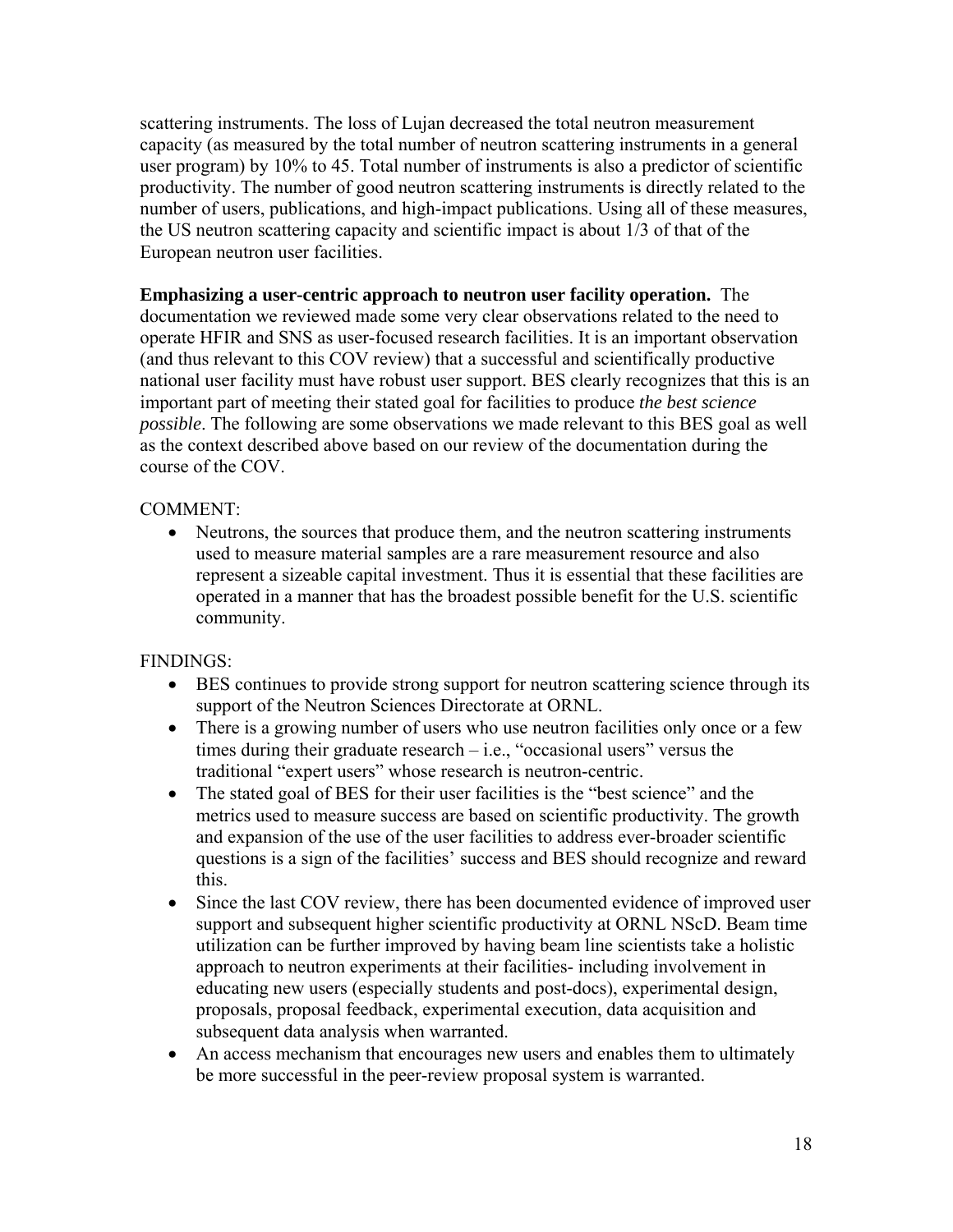scattering instruments. The loss of Lujan decreased the total neutron measurement capacity (as measured by the total number of neutron scattering instruments in a general user program) by 10% to 45. Total number of instruments is also a predictor of scientific productivity. The number of good neutron scattering instruments is directly related to the number of users, publications, and high-impact publications. Using all of these measures, the US neutron scattering capacity and scientific impact is about 1/3 of that of the European neutron user facilities.

**Emphasizing a user-centric approach to neutron user facility operation.** The documentation we reviewed made some very clear observations related to the need to operate HFIR and SNS as user-focused research facilities. It is an important observation (and thus relevant to this COV review) that a successful and scientifically productive national user facility must have robust user support. BES clearly recognizes that this is an important part of meeting their stated goal for facilities to produce *the best science possible*. The following are some observations we made relevant to this BES goal as well as the context described above based on our review of the documentation during the course of the COV.

#### COMMENT:

 Neutrons, the sources that produce them, and the neutron scattering instruments used to measure material samples are a rare measurement resource and also represent a sizeable capital investment. Thus it is essential that these facilities are operated in a manner that has the broadest possible benefit for the U.S. scientific community.

#### FINDINGS:

- BES continues to provide strong support for neutron scattering science through its support of the Neutron Sciences Directorate at ORNL.
- There is a growing number of users who use neutron facilities only once or a few times during their graduate research  $-i.e.,$  "occasional users" versus the traditional "expert users" whose research is neutron-centric.
- The stated goal of BES for their user facilities is the "best science" and the metrics used to measure success are based on scientific productivity. The growth and expansion of the use of the user facilities to address ever-broader scientific questions is a sign of the facilities' success and BES should recognize and reward this.
- Since the last COV review, there has been documented evidence of improved user support and subsequent higher scientific productivity at ORNL NScD. Beam time utilization can be further improved by having beam line scientists take a holistic approach to neutron experiments at their facilities- including involvement in educating new users (especially students and post-docs), experimental design, proposals, proposal feedback, experimental execution, data acquisition and subsequent data analysis when warranted.
- An access mechanism that encourages new users and enables them to ultimately be more successful in the peer-review proposal system is warranted.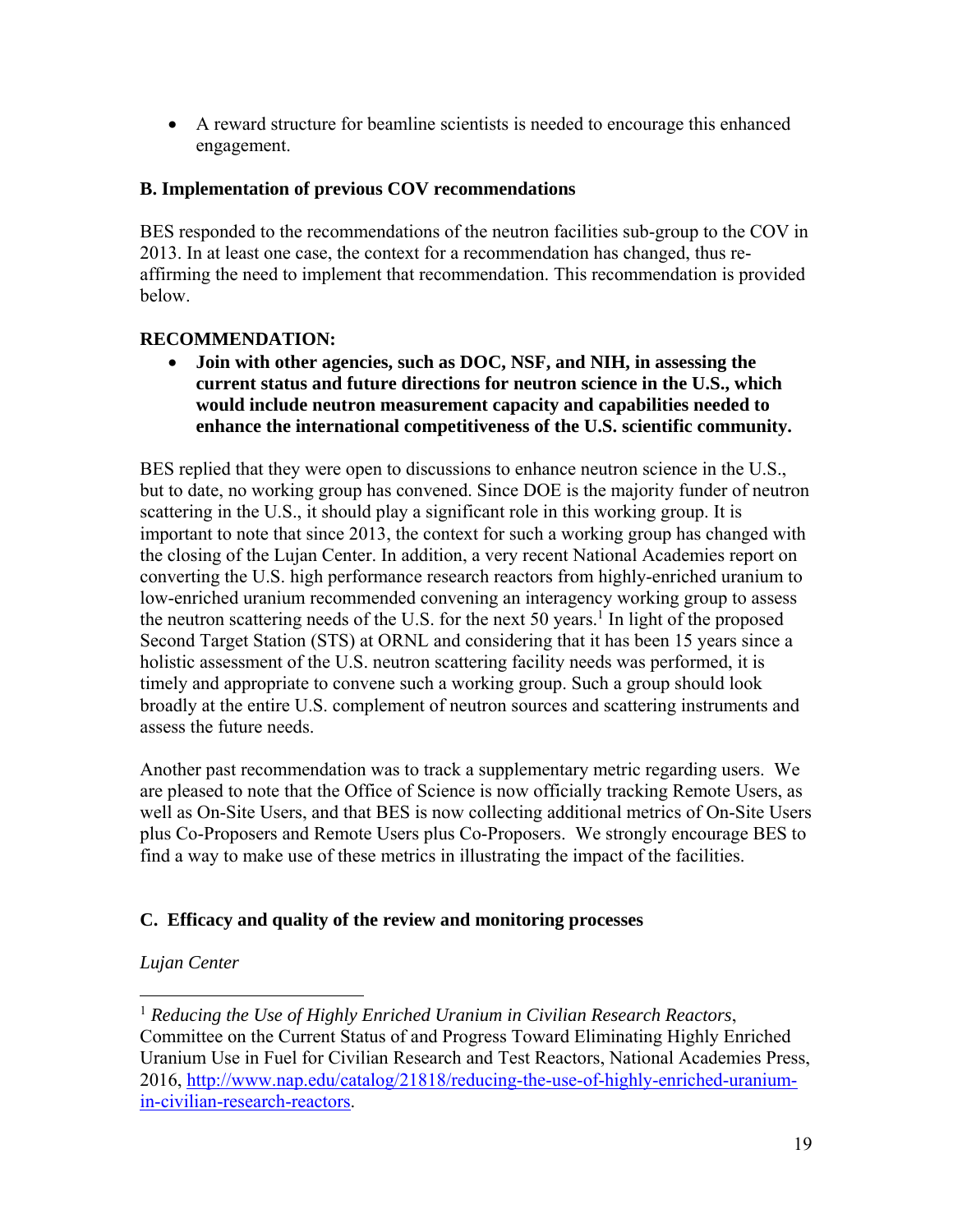A reward structure for beamline scientists is needed to encourage this enhanced engagement.

#### **B. Implementation of previous COV recommendations**

BES responded to the recommendations of the neutron facilities sub-group to the COV in 2013. In at least one case, the context for a recommendation has changed, thus reaffirming the need to implement that recommendation. This recommendation is provided below.

#### **RECOMMENDATION:**

 **Join with other agencies, such as DOC, NSF, and NIH, in assessing the current status and future directions for neutron science in the U.S., which would include neutron measurement capacity and capabilities needed to enhance the international competitiveness of the U.S. scientific community.** 

BES replied that they were open to discussions to enhance neutron science in the U.S., but to date, no working group has convened. Since DOE is the majority funder of neutron scattering in the U.S., it should play a significant role in this working group. It is important to note that since 2013, the context for such a working group has changed with the closing of the Lujan Center. In addition, a very recent National Academies report on converting the U.S. high performance research reactors from highly-enriched uranium to low-enriched uranium recommended convening an interagency working group to assess the neutron scattering needs of the U.S. for the next 50 years.<sup>1</sup> In light of the proposed Second Target Station (STS) at ORNL and considering that it has been 15 years since a holistic assessment of the U.S. neutron scattering facility needs was performed, it is timely and appropriate to convene such a working group. Such a group should look broadly at the entire U.S. complement of neutron sources and scattering instruments and assess the future needs.

Another past recommendation was to track a supplementary metric regarding users. We are pleased to note that the Office of Science is now officially tracking Remote Users, as well as On-Site Users, and that BES is now collecting additional metrics of On-Site Users plus Co-Proposers and Remote Users plus Co-Proposers. We strongly encourage BES to find a way to make use of these metrics in illustrating the impact of the facilities.

### **C. Efficacy and quality of the review and monitoring processes**

#### *Lujan Center*

 $\overline{a}$ 

<sup>1</sup> *Reducing the Use of Highly Enriched Uranium in Civilian Research Reactors*, Committee on the Current Status of and Progress Toward Eliminating Highly Enriched Uranium Use in Fuel for Civilian Research and Test Reactors, National Academies Press, 2016, http://www.nap.edu/catalog/21818/reducing-the-use-of-highly-enriched-uraniumin-civilian-research-reactors.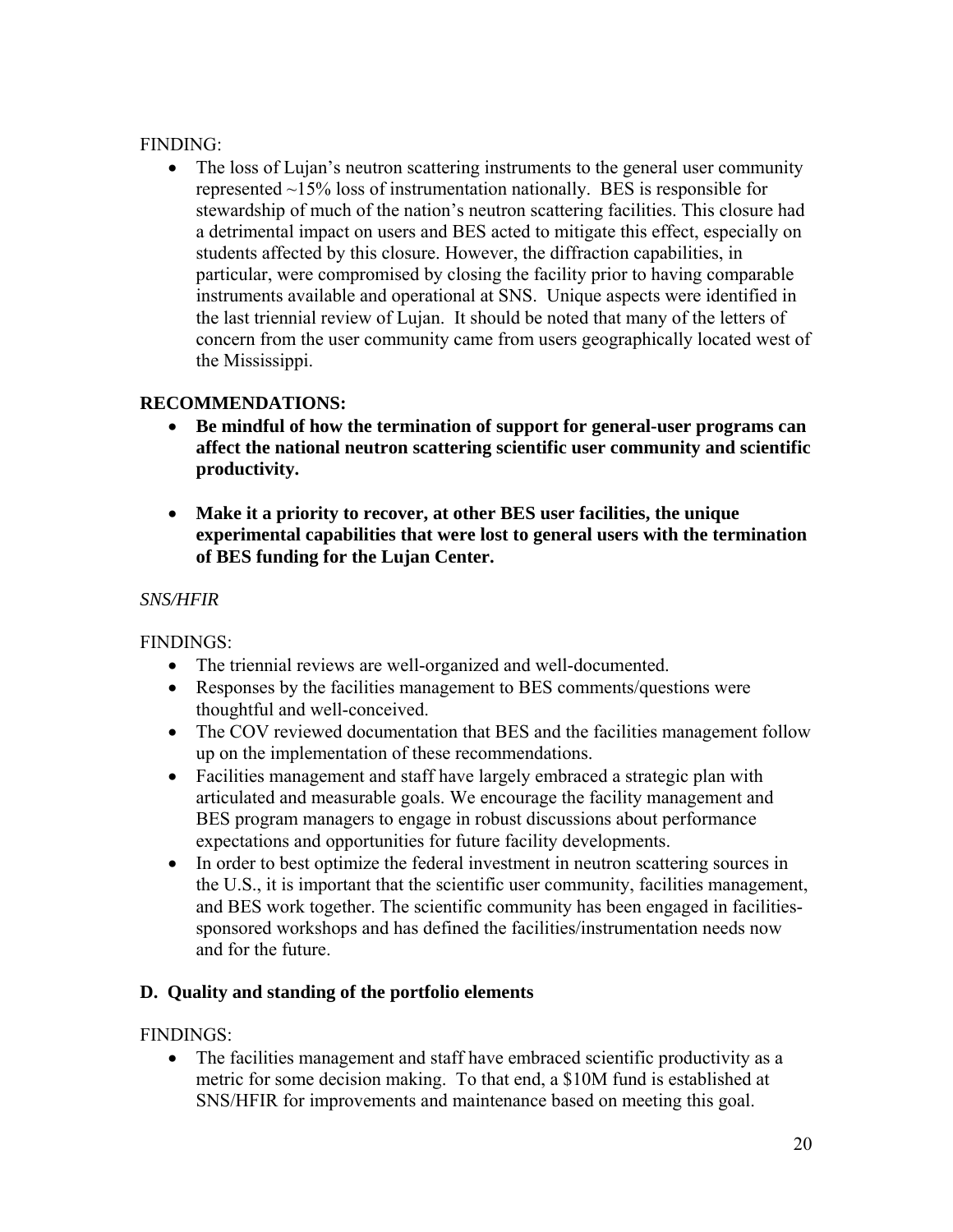#### FINDING:

• The loss of Lujan's neutron scattering instruments to the general user community represented ~15% loss of instrumentation nationally. BES is responsible for stewardship of much of the nation's neutron scattering facilities. This closure had a detrimental impact on users and BES acted to mitigate this effect, especially on students affected by this closure. However, the diffraction capabilities, in particular, were compromised by closing the facility prior to having comparable instruments available and operational at SNS. Unique aspects were identified in the last triennial review of Lujan. It should be noted that many of the letters of concern from the user community came from users geographically located west of the Mississippi.

### **RECOMMENDATIONS:**

- **Be mindful of how the termination of support for general-user programs can affect the national neutron scattering scientific user community and scientific productivity.**
- **Make it a priority to recover, at other BES user facilities, the unique experimental capabilities that were lost to general users with the termination of BES funding for the Lujan Center.**

### *SNS/HFIR*

FINDINGS:

- The triennial reviews are well-organized and well-documented.
- Responses by the facilities management to BES comments/questions were thoughtful and well-conceived.
- The COV reviewed documentation that BES and the facilities management follow up on the implementation of these recommendations.
- Facilities management and staff have largely embraced a strategic plan with articulated and measurable goals. We encourage the facility management and BES program managers to engage in robust discussions about performance expectations and opportunities for future facility developments.
- In order to best optimize the federal investment in neutron scattering sources in the U.S., it is important that the scientific user community, facilities management, and BES work together. The scientific community has been engaged in facilitiessponsored workshops and has defined the facilities/instrumentation needs now and for the future.

### **D. Quality and standing of the portfolio elements**

FINDINGS:

• The facilities management and staff have embraced scientific productivity as a metric for some decision making. To that end, a \$10M fund is established at SNS/HFIR for improvements and maintenance based on meeting this goal.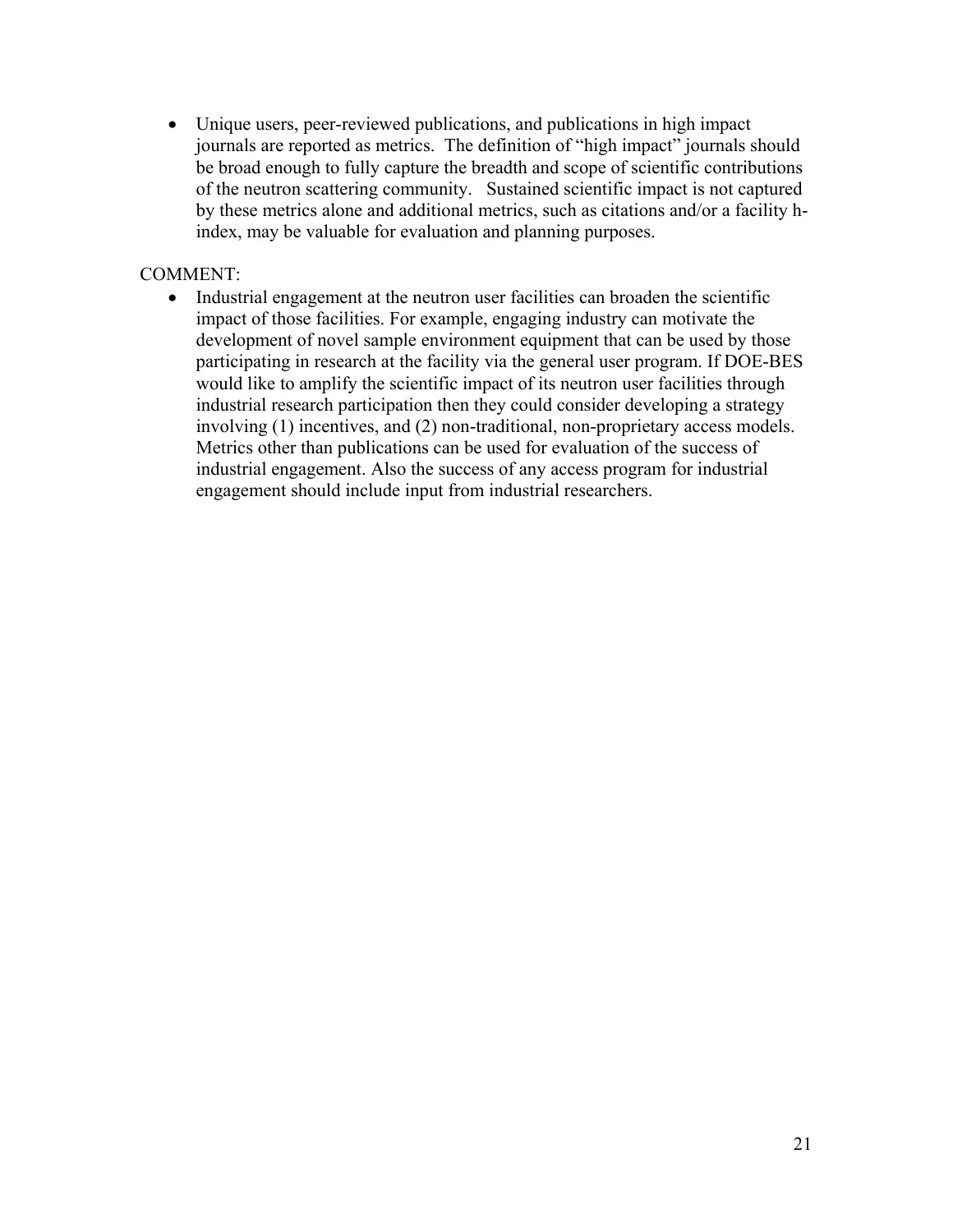Unique users, peer-reviewed publications, and publications in high impact journals are reported as metrics. The definition of "high impact" journals should be broad enough to fully capture the breadth and scope of scientific contributions of the neutron scattering community. Sustained scientific impact is not captured by these metrics alone and additional metrics, such as citations and/or a facility hindex, may be valuable for evaluation and planning purposes.

#### COMMENT:

• Industrial engagement at the neutron user facilities can broaden the scientific impact of those facilities. For example, engaging industry can motivate the development of novel sample environment equipment that can be used by those participating in research at the facility via the general user program. If DOE-BES would like to amplify the scientific impact of its neutron user facilities through industrial research participation then they could consider developing a strategy involving (1) incentives, and (2) non-traditional, non-proprietary access models. Metrics other than publications can be used for evaluation of the success of industrial engagement. Also the success of any access program for industrial engagement should include input from industrial researchers.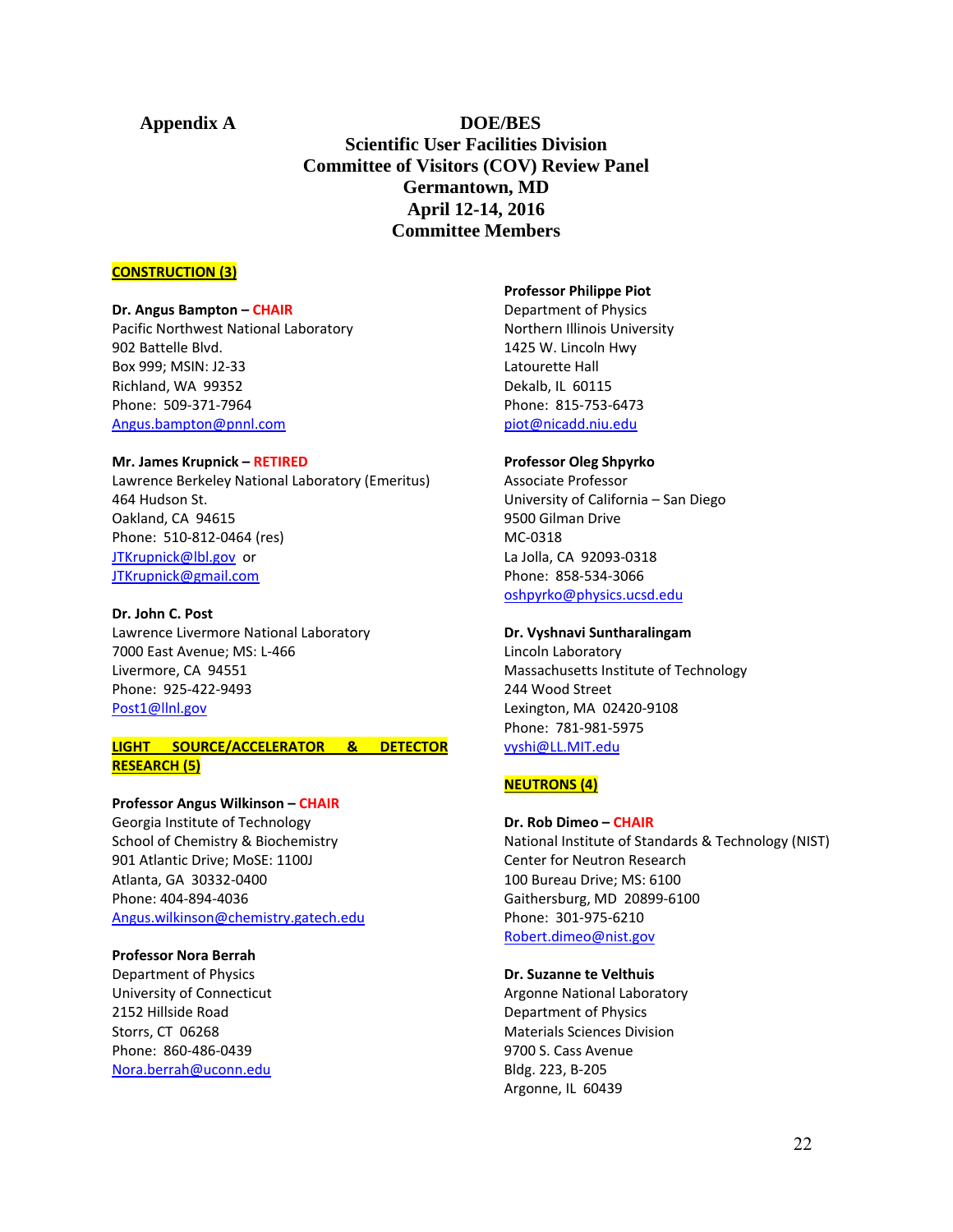**Appendix A DOE/BES Scientific User Facilities Division Committee of Visitors (COV) Review Panel Germantown, MD April 12-14, 2016 Committee Members** 

#### **CONSTRUCTION (3)**

#### **Dr. Angus Bampton – CHAIR**

Pacific Northwest National Laboratory 902 Battelle Blvd. Box 999; MSIN: J2‐33 Richland, WA 99352 Phone: 509‐371‐7964 Angus.bampton@pnnl.com

#### **Mr. James Krupnick – RETIRED**

Lawrence Berkeley National Laboratory (Emeritus) 464 Hudson St. Oakland, CA 94615 Phone: 510‐812‐0464 (res) JTKrupnick@lbl.gov or JTKrupnick@gmail.com

#### **Dr. John C. Post**

Lawrence Livermore National Laboratory 7000 East Avenue; MS: L‐466 Livermore, CA 94551 Phone: 925‐422‐9493 Post1@llnl.gov

#### **LIGHT SOURCE/ACCELERATOR & DETECTOR RESEARCH (5)**

#### **Professor Angus Wilkinson – CHAIR**

Georgia Institute of Technology School of Chemistry & Biochemistry 901 Atlantic Drive; MoSE: 1100J Atlanta, GA 30332‐0400 Phone: 404‐894‐4036 Angus.wilkinson@chemistry.gatech.edu

#### **Professor Nora Berrah**

Department of Physics University of Connecticut 2152 Hillside Road Storrs, CT 06268 Phone: 860‐486‐0439 Nora.berrah@uconn.edu

#### **Professor Philippe Piot**

Department of Physics Northern Illinois University 1425 W. Lincoln Hwy Latourette Hall Dekalb, IL 60115 Phone: 815‐753‐6473 piot@nicadd.niu.edu

#### **Professor Oleg Shpyrko**

Associate Professor University of California – San Diego 9500 Gilman Drive MC‐0318 La Jolla, CA 92093‐0318 Phone: 858‐534‐3066 oshpyrko@physics.ucsd.edu

#### **Dr. Vyshnavi Suntharalingam**

Lincoln Laboratory Massachusetts Institute of Technology 244 Wood Street Lexington, MA 02420‐9108 Phone: 781‐981‐5975 vyshi@LL.MIT.edu

#### **NEUTRONS (4)**

#### **Dr. Rob Dimeo – CHAIR**

National Institute of Standards & Technology (NIST) Center for Neutron Research 100 Bureau Drive; MS: 6100 Gaithersburg, MD 20899‐6100 Phone: 301‐975‐6210 Robert.dimeo@nist.gov

#### **Dr. Suzanne te Velthuis**

Argonne National Laboratory Department of Physics Materials Sciences Division 9700 S. Cass Avenue Bldg. 223, B‐205 Argonne, IL 60439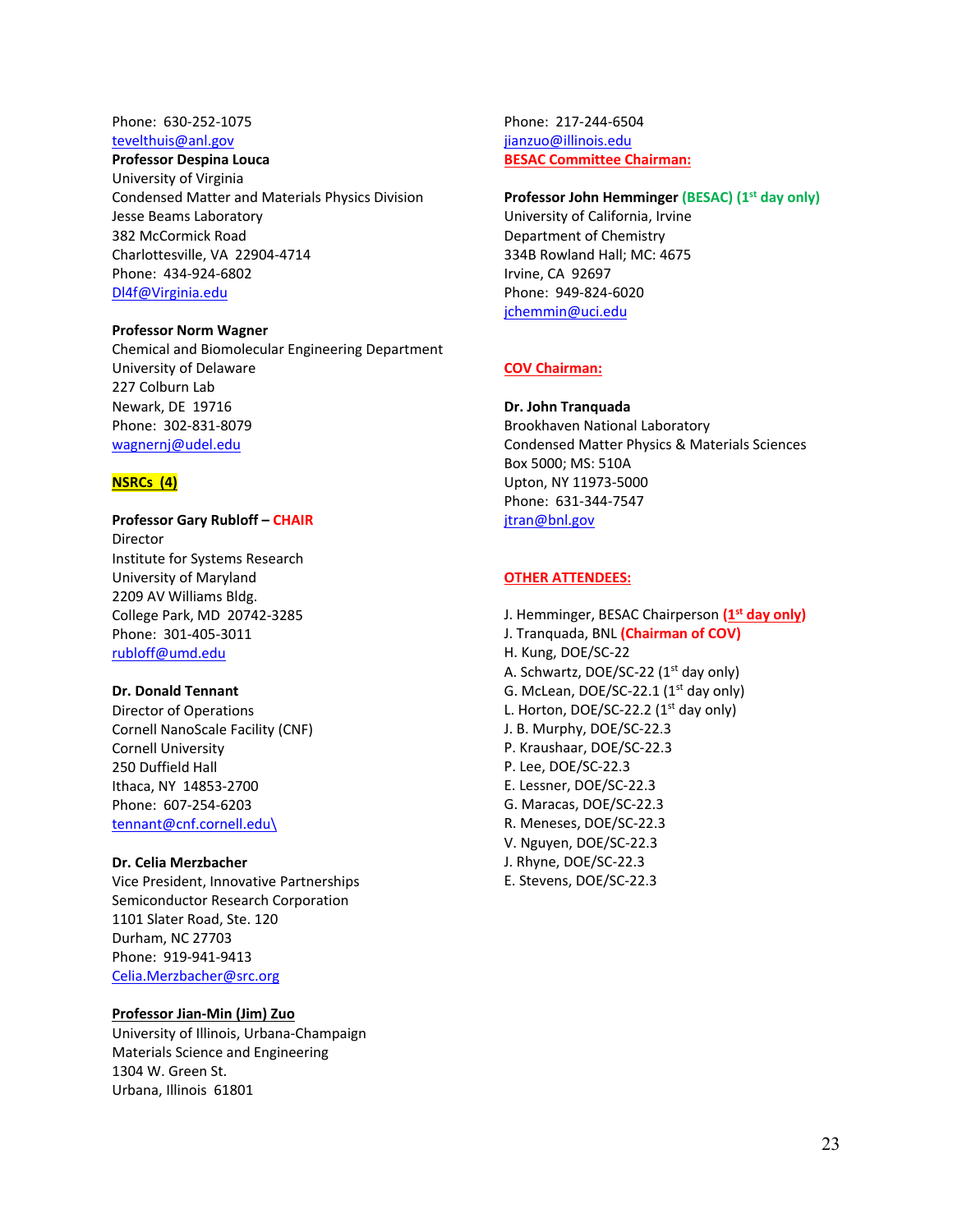#### Phone: 630‐252‐1075 tevelthuis@anl.gov

#### **Professor Despina Louca**

University of Virginia Condensed Matter and Materials Physics Division Jesse Beams Laboratory 382 McCormick Road Charlottesville, VA 22904‐4714 Phone: 434‐924‐6802 Dl4f@Virginia.edu

#### **Professor Norm Wagner**

Chemical and Biomolecular Engineering Department University of Delaware 227 Colburn Lab Newark, DE 19716 Phone: 302‐831‐8079 wagnernj@udel.edu

#### **NSRCs (4)**

**Professor Gary Rubloff – CHAIR** Director Institute for Systems Research University of Maryland 2209 AV Williams Bldg. College Park, MD 20742‐3285 Phone: 301‐405‐3011 rubloff@umd.edu

#### **Dr. Donald Tennant**

Director of Operations Cornell NanoScale Facility (CNF) Cornell University 250 Duffield Hall Ithaca, NY 14853‐2700 Phone: 607‐254‐6203 tennant@cnf.cornell.edu\

#### **Dr. Celia Merzbacher**

Vice President, Innovative Partnerships Semiconductor Research Corporation 1101 Slater Road, Ste. 120 Durham, NC 27703 Phone: 919‐941‐9413 Celia.Merzbacher@src.org

#### **Professor Jian‐Min (Jim) Zuo**

University of Illinois, Urbana‐Champaign Materials Science and Engineering 1304 W. Green St. Urbana, Illinois 61801

Phone: 217‐244‐6504 jianzuo@illinois.edu **BESAC Committee Chairman:**

#### **Professor John Hemminger (BESAC) (1st day only)**

University of California, Irvine Department of Chemistry 334B Rowland Hall; MC: 4675 Irvine, CA 92697 Phone: 949‐824‐6020 jchemmin@uci.edu

#### **COV Chairman:**

#### **Dr. John Tranquada**

Brookhaven National Laboratory Condensed Matter Physics & Materials Sciences Box 5000; MS: 510A Upton, NY 11973‐5000 Phone: 631‐344‐7547 jtran@bnl.gov

#### **OTHER ATTENDEES:**

J. Hemminger, BESAC Chairperson **(1st day only)** J. Tranquada, BNL **(Chairman of COV)** H. Kung, DOE/SC‐22 A. Schwartz, DOE/SC-22 (1<sup>st</sup> day only) G. McLean,  $DOE/SC-22.1$  (1<sup>st</sup> day only) L. Horton, DOE/SC-22.2  $(1^{st}$  day only) J. B. Murphy, DOE/SC‐22.3 P. Kraushaar, DOE/SC‐22.3 P. Lee, DOE/SC‐22.3 E. Lessner, DOE/SC‐22.3 G. Maracas, DOE/SC‐22.3 R. Meneses, DOE/SC‐22.3 V. Nguyen, DOE/SC‐22.3 J. Rhyne, DOE/SC‐22.3 E. Stevens, DOE/SC‐22.3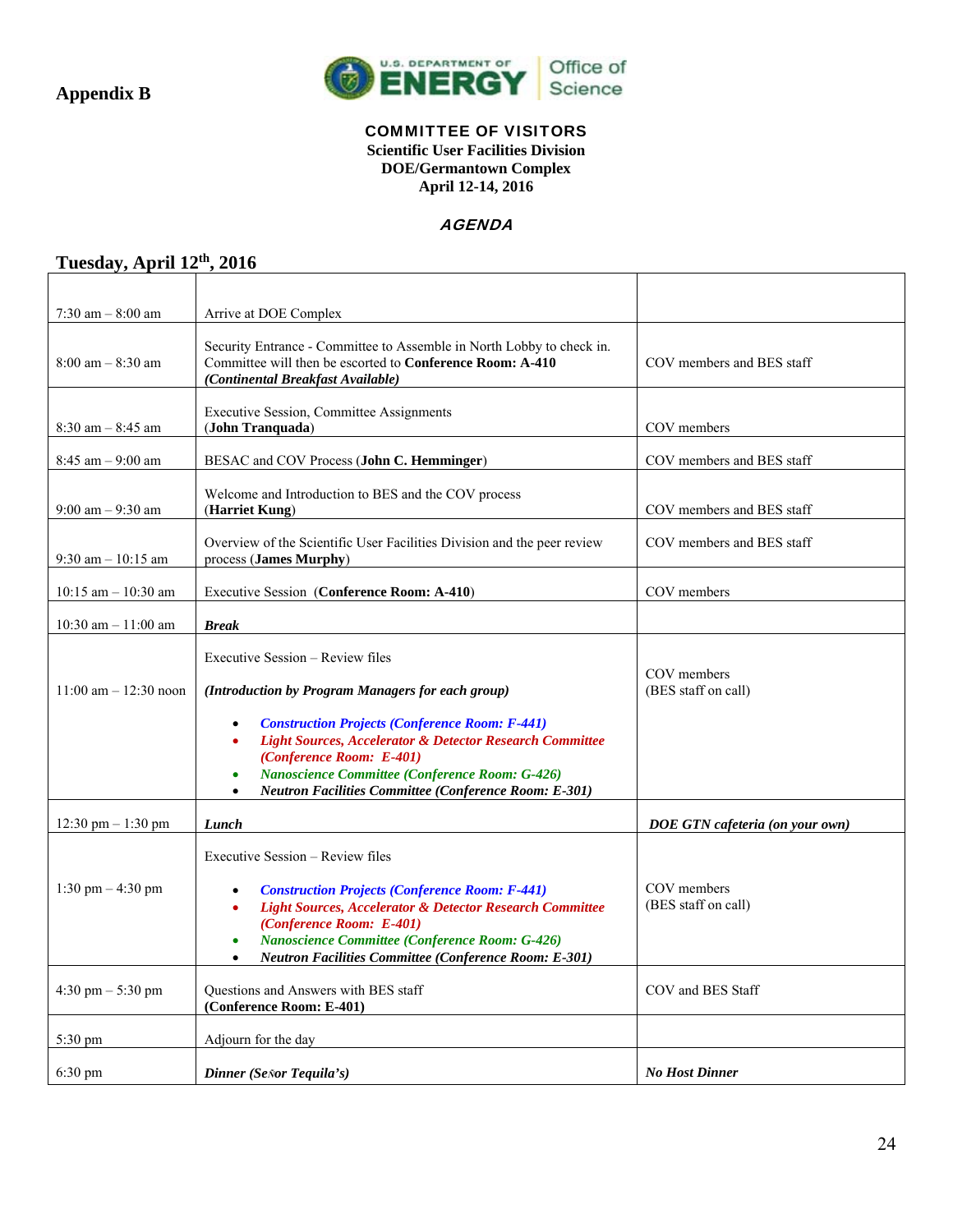

#### COMMITTEE OF VISITORS

**Scientific User Facilities Division DOE/Germantown Complex April 12-14, 2016** 

#### **AGENDA**

T

### **Tuesday, April 12th, 2016**

| $7:30$ am $-8:00$ am                | Arrive at DOE Complex                                                                                                                                                                                                                                                                                                                                                                                |                                    |
|-------------------------------------|------------------------------------------------------------------------------------------------------------------------------------------------------------------------------------------------------------------------------------------------------------------------------------------------------------------------------------------------------------------------------------------------------|------------------------------------|
| $8:00$ am $-8:30$ am                | Security Entrance - Committee to Assemble in North Lobby to check in.<br>Committee will then be escorted to Conference Room: A-410<br>(Continental Breakfast Available)                                                                                                                                                                                                                              | COV members and BES staff          |
| $8:30$ am $-8:45$ am                | Executive Session, Committee Assignments<br>(John Tranquada)                                                                                                                                                                                                                                                                                                                                         | COV members                        |
| $8:45$ am $-9:00$ am                | BESAC and COV Process (John C. Hemminger)                                                                                                                                                                                                                                                                                                                                                            | COV members and BES staff          |
| $9:00$ am $-9:30$ am                | Welcome and Introduction to BES and the COV process<br>(Harriet Kung)                                                                                                                                                                                                                                                                                                                                | COV members and BES staff          |
| $9:30$ am $-10:15$ am               | Overview of the Scientific User Facilities Division and the peer review<br>process (James Murphy)                                                                                                                                                                                                                                                                                                    | COV members and BES staff          |
| $10:15$ am $- 10:30$ am             | Executive Session (Conference Room: A-410)                                                                                                                                                                                                                                                                                                                                                           | COV members                        |
| $10:30$ am $- 11:00$ am             | <b>Break</b>                                                                                                                                                                                                                                                                                                                                                                                         |                                    |
| $11:00$ am $-12:30$ noon            | Executive Session - Review files<br>(Introduction by Program Managers for each group)<br><b>Construction Projects (Conference Room: F-441)</b><br>$\bullet$<br><b>Light Sources, Accelerator &amp; Detector Research Committee</b><br>(Conference Room: E-401)<br><b>Nanoscience Committee (Conference Room: G-426)</b><br>$\bullet$<br><b>Neutron Facilities Committee (Conference Room: E-301)</b> | COV members<br>(BES staff on call) |
| 12:30 pm $- 1:30$ pm                | $\bullet$<br>Lunch                                                                                                                                                                                                                                                                                                                                                                                   | DOE GTN cafeteria (on your own)    |
| 1:30 pm $-$ 4:30 pm                 | Executive Session – Review files<br><b>Construction Projects (Conference Room: F-441)</b><br>$\bullet$<br><b>Light Sources, Accelerator &amp; Detector Research Committee</b><br>$\bullet$<br>(Conference Room: E-401)<br><b>Nanoscience Committee (Conference Room: G-426)</b><br>$\bullet$<br><b>Neutron Facilities Committee (Conference Room: E-301)</b>                                         | COV members<br>(BES staff on call) |
| $4:30 \text{ pm} - 5:30 \text{ pm}$ | Questions and Answers with BES staff<br>(Conference Room: E-401)                                                                                                                                                                                                                                                                                                                                     | COV and BES Staff                  |
| $5:30 \text{ pm}$                   | Adjourn for the day                                                                                                                                                                                                                                                                                                                                                                                  |                                    |
| $6:30 \text{ pm}$                   | Dinner (Señor Tequila's)                                                                                                                                                                                                                                                                                                                                                                             | <b>No Host Dinner</b>              |

٦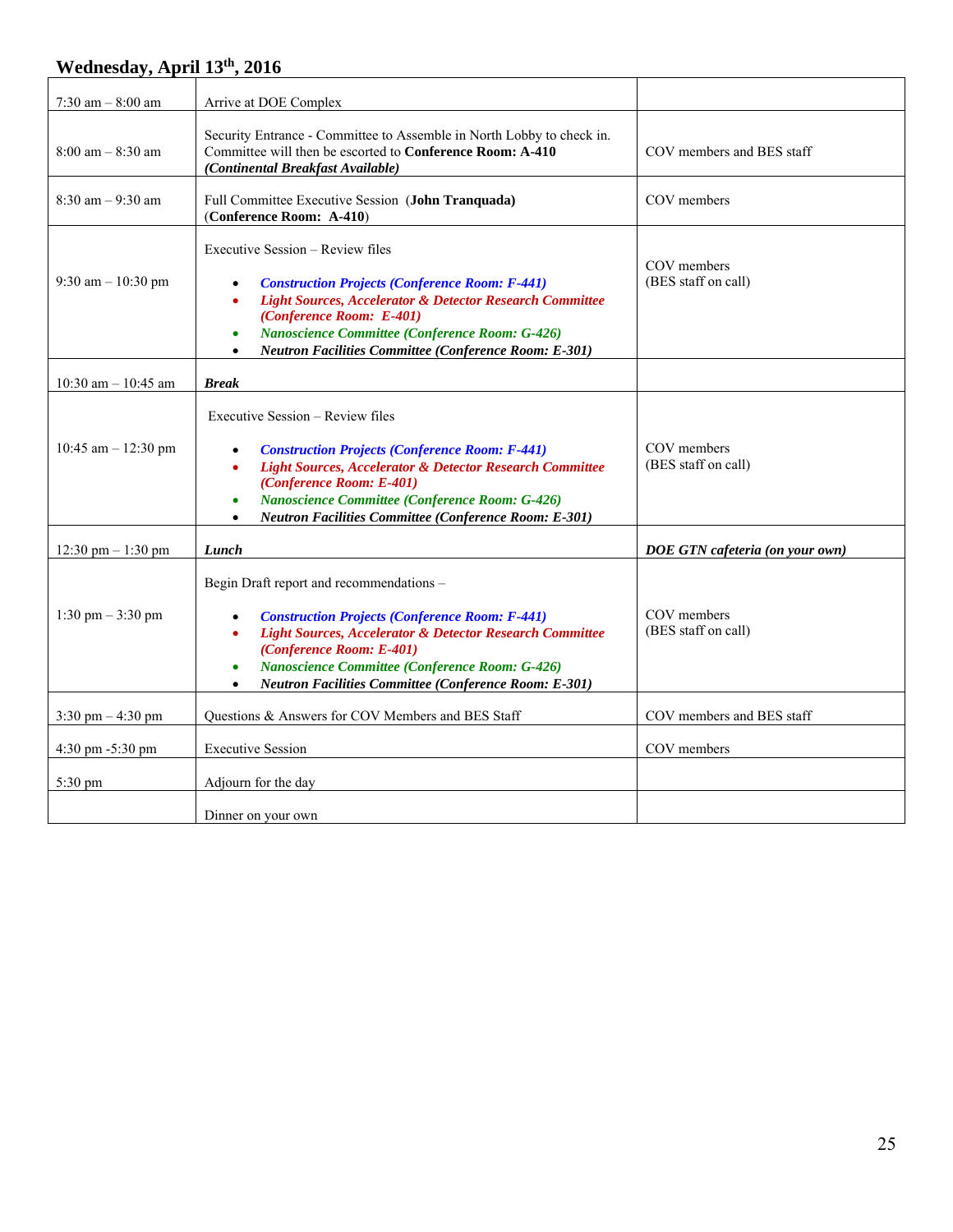## **Wednesday, April 13th, 2016**

| 7:30 am $-8:00$ am                   | Arrive at DOE Complex                                                                                                                                                                                                                                                                                                                                                     |                                    |
|--------------------------------------|---------------------------------------------------------------------------------------------------------------------------------------------------------------------------------------------------------------------------------------------------------------------------------------------------------------------------------------------------------------------------|------------------------------------|
| $8:00$ am $-8:30$ am                 | Security Entrance - Committee to Assemble in North Lobby to check in.<br>Committee will then be escorted to Conference Room: A-410<br>(Continental Breakfast Available)                                                                                                                                                                                                   | COV members and BES staff          |
| $8:30$ am $-9:30$ am                 | Full Committee Executive Session (John Tranquada)<br>(Conference Room: A-410)                                                                                                                                                                                                                                                                                             | COV members                        |
| 9:30 am $- 10:30$ pm                 | Executive Session – Review files<br><b>Construction Projects (Conference Room: F-441)</b><br>$\bullet$<br><b>Light Sources, Accelerator &amp; Detector Research Committee</b><br>$\bullet$<br>(Conference Room: E-401)<br><b>Nanoscience Committee (Conference Room: G-426)</b><br>$\bullet$<br><b>Neutron Facilities Committee (Conference Room: E-301)</b><br>$\bullet$ | COV members<br>(BES staff on call) |
| $10:30$ am $- 10:45$ am              | <b>Break</b>                                                                                                                                                                                                                                                                                                                                                              |                                    |
| 10:45 am $-$ 12:30 pm                | Executive Session – Review files<br><b>Construction Projects (Conference Room: F-441)</b><br>$\bullet$<br>Light Sources, Accelerator & Detector Research Committee<br>(Conference Room: E-401)<br><b>Nanoscience Committee (Conference Room: G-426)</b><br>$\bullet$<br><b>Neutron Facilities Committee (Conference Room: E-301)</b>                                      | COV members<br>(BES staff on call) |
| $12:30 \text{ pm} - 1:30 \text{ pm}$ | Lunch                                                                                                                                                                                                                                                                                                                                                                     | DOE GTN cafeteria (on your own)    |
| 1:30 pm $-3:30$ pm                   | Begin Draft report and recommendations -<br><b>Construction Projects (Conference Room: F-441)</b><br>$\bullet$<br><b>Light Sources, Accelerator &amp; Detector Research Committee</b><br>$\bullet$<br>(Conference Room: E-401)<br>Nanoscience Committee (Conference Room: G-426)<br><b>Neutron Facilities Committee (Conference Room: E-301)</b><br>$\bullet$             | COV members<br>(BES staff on call) |
| $3:30 \text{ pm} - 4:30 \text{ pm}$  | Questions & Answers for COV Members and BES Staff                                                                                                                                                                                                                                                                                                                         | COV members and BES staff          |
| $4:30 \text{ pm } -5:30 \text{ pm}$  | <b>Executive Session</b>                                                                                                                                                                                                                                                                                                                                                  | COV members                        |
| 5:30 pm                              | Adjourn for the day                                                                                                                                                                                                                                                                                                                                                       |                                    |
|                                      | Dinner on your own                                                                                                                                                                                                                                                                                                                                                        |                                    |